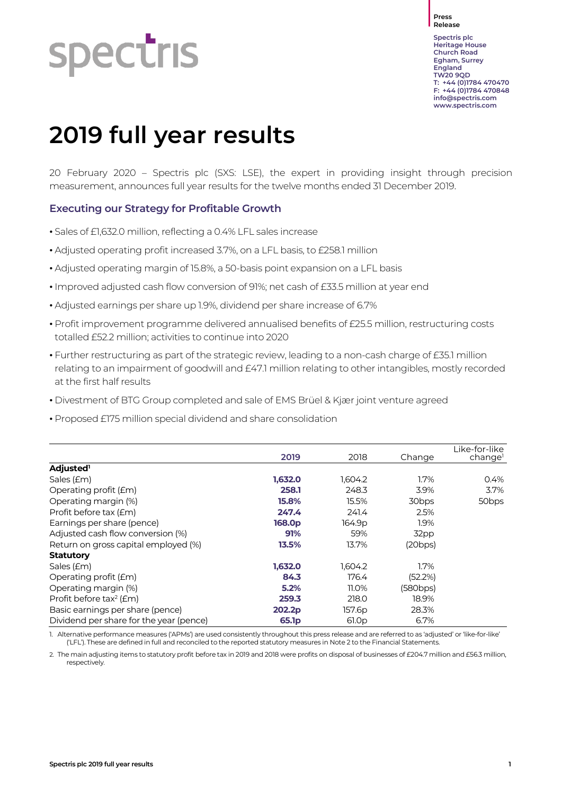# **spectris**

**Press Release**

**Spectris plc Heritage House Church Road Egham, Surrey England TW20 9QD T: +44 (0)1784 470470 F: +44 (0)1784 470848 [info@spectris.com](mailto:info@spectris.com) www.spectris.com**

## **2019 full year results**

20 February 2020 – Spectris plc (SXS: LSE), the expert in providing insight through precision measurement, announces full year results for the twelve months ended 31 December 2019.

### **Executing our Strategy for Profitable Growth**

- Sales of £1,632.0 million, reflecting a 0.4% LFL sales increase
- Adjusted operating profit increased 3.7%, on a LFL basis, to £258.1 million
- Adjusted operating margin of 15.8%, a 50-basis point expansion on a LFL basis
- Improved adjusted cash flow conversion of 91%; net cash of £33.5 million at year end
- Adjusted earnings per share up 1.9%, dividend per share increase of 6.7%
- Profit improvement programme delivered annualised benefits of £25.5 million, restructuring costs totalled £52.2 million; activities to continue into 2020
- Further restructuring as part of the strategic review, leading to a non-cash charge of £35.1 million relating to an impairment of goodwill and £47.1 million relating to other intangibles, mostly recorded at the first half results
- Divestment of BTG Group completed and sale of EMS Brüel & Kjær joint venture agreed
- Proposed £175 million special dividend and share consolidation

|                                         | 2019               | 2018              | Change            | Like-for-like<br>change |
|-----------------------------------------|--------------------|-------------------|-------------------|-------------------------|
| Adjusted <sup>1</sup>                   |                    |                   |                   |                         |
| Sales (£m)                              | 1,632.0            | 1,604.2           | 1.7%              | 0.4%                    |
| Operating profit (£m)                   | 258.1              | 248.3             | 3.9%              | 3.7%                    |
| Operating margin (%)                    | 15.8%              | 15.5%             | 30 <sub>bps</sub> | 50 <sub>bps</sub>       |
| Profit before tax (£m)                  | 247.4              | 241.4             | 2.5%              |                         |
| Earnings per share (pence)              | 168.0 <sub>p</sub> | 164.9p            | 1.9%              |                         |
| Adjusted cash flow conversion (%)       | 91%                | 59%               | 32pp              |                         |
| Return on gross capital employed (%)    | 13.5%              | 13.7%             | (20bps)           |                         |
| <b>Statutory</b>                        |                    |                   |                   |                         |
| Sales (£m)                              | 1,632.0            | 1,604.2           | 1.7%              |                         |
| Operating profit (£m)                   | 84.3               | 176.4             | (52.2%)           |                         |
| Operating margin (%)                    | 5.2%               | 11.0%             | (580bps)          |                         |
| Profit before tax <sup>2</sup> ( $Em$ ) | 259.3              | 218.0             | 18.9%             |                         |
| Basic earnings per share (pence)        | 202.2p             | 157.6p            | 28.3%             |                         |
| Dividend per share for the year (pence) | 65.1p              | 61.0 <sub>p</sub> | 6.7%              |                         |

1. Alternative performance measures ('APMs') are used consistently throughout this press release and are referred to as 'adjusted' or 'like-for-like' ('LFL'). These are defined in full and reconciled to the reported statutory measures in Note 2 to the Financial Statements.

2. The main adjusting items to statutory profit before tax in 2019 and 2018 were profits on disposal of businesses of £204.7 million and £56.3 million, respectively.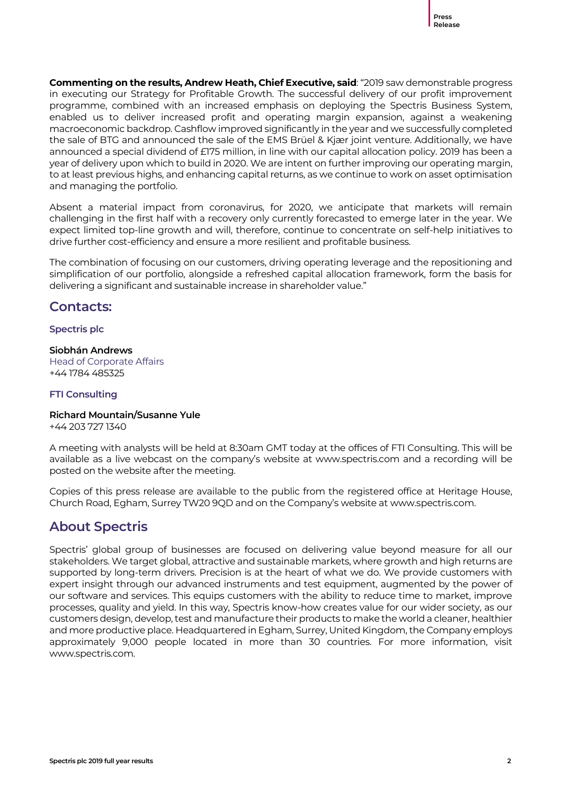**Commenting on the results, Andrew Heath, Chief Executive, said**: "2019 saw demonstrable progress in executing our Strategy for Profitable Growth. The successful delivery of our profit improvement programme, combined with an increased emphasis on deploying the Spectris Business System, enabled us to deliver increased profit and operating margin expansion, against a weakening macroeconomic backdrop. Cashflow improved significantly in the year and we successfully completed the sale of BTG and announced the sale of the EMS Brüel & Kjær joint venture. Additionally, we have announced a special dividend of £175 million, in line with our capital allocation policy. 2019 has been a year of delivery upon which to build in 2020. We are intent on further improving our operating margin, to at least previous highs, and enhancing capital returns, as we continue to work on asset optimisation and managing the portfolio.

Absent a material impact from coronavirus, for 2020, we anticipate that markets will remain challenging in the first half with a recovery only currently forecasted to emerge later in the year. We expect limited top-line growth and will, therefore, continue to concentrate on self-help initiatives to drive further cost-efficiency and ensure a more resilient and profitable business.

The combination of focusing on our customers, driving operating leverage and the repositioning and simplification of our portfolio, alongside a refreshed capital allocation framework, form the basis for delivering a significant and sustainable increase in shareholder value."

### **Contacts:**

**Spectris plc**

### **Siobhán Andrews**

Head of Corporate Affairs +44 1784 485325

### **FTI Consulting**

### **Richard Mountain/Susanne Yule**

+44 203 727 1340

A meeting with analysts will be held at 8:30am GMT today at the offices of FTI Consulting. This will be available as a live webcast on the company's website at www.spectris.com and a recording will be posted on the website after the meeting.

Copies of this press release are available to the public from the registered office at Heritage House, Church Road, Egham, Surrey TW20 9QD and on the Company's website at www.spectris.com.

### **About Spectris**

Spectris' global group of businesses are focused on delivering value beyond measure for all our stakeholders. We target global, attractive and sustainable markets, where growth and high returns are supported by long-term drivers. Precision is at the heart of what we do. We provide customers with expert insight through our advanced instruments and test equipment, augmented by the power of our software and services. This equips customers with the ability to reduce time to market, improve processes, quality and yield. In this way, Spectris know-how creates value for our wider society, as our customers design, develop, test and manufacture their products to make the world a cleaner, healthier and more productive place. Headquartered in Egham, Surrey, United Kingdom, the Company employs approximately 9,000 people located in more than 30 countries. For more information, visit www.spectris.com.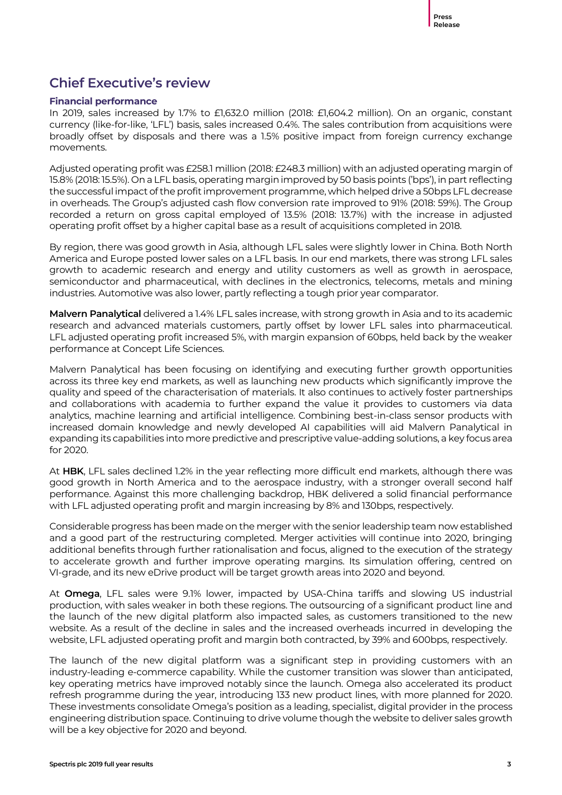### **Chief Executive's review**

### **Financial performance**

In 2019, sales increased by 1.7% to £1,632.0 million (2018: £1,604.2 million). On an organic, constant currency (like-for-like, 'LFL') basis, sales increased 0.4%. The sales contribution from acquisitions were broadly offset by disposals and there was a 1.5% positive impact from foreign currency exchange movements.

Adjusted operating profit was £258.1 million (2018: £248.3 million) with an adjusted operating margin of 15.8% (2018: 15.5%). On a LFL basis, operating margin improved by 50 basis points ('bps'), in part reflecting the successful impact of the profit improvement programme, which helped drive a 50bps LFL decrease in overheads. The Group's adjusted cash flow conversion rate improved to 91% (2018: 59%). The Group recorded a return on gross capital employed of 13.5% (2018: 13.7%) with the increase in adjusted operating profit offset by a higher capital base as a result of acquisitions completed in 2018.

By region, there was good growth in Asia, although LFL sales were slightly lower in China. Both North America and Europe posted lower sales on a LFL basis. In our end markets, there was strong LFL sales growth to academic research and energy and utility customers as well as growth in aerospace, semiconductor and pharmaceutical, with declines in the electronics, telecoms, metals and mining industries. Automotive was also lower, partly reflecting a tough prior year comparator.

**Malvern Panalytical** delivered a 1.4% LFL sales increase, with strong growth in Asia and to its academic research and advanced materials customers, partly offset by lower LFL sales into pharmaceutical. LFL adjusted operating profit increased 5%, with margin expansion of 60bps, held back by the weaker performance at Concept Life Sciences.

Malvern Panalytical has been focusing on identifying and executing further growth opportunities across its three key end markets, as well as launching new products which significantly improve the quality and speed of the characterisation of materials. It also continues to actively foster partnerships and collaborations with academia to further expand the value it provides to customers via data analytics, machine learning and artificial intelligence. Combining best-in-class sensor products with increased domain knowledge and newly developed AI capabilities will aid Malvern Panalytical in expanding its capabilities into more predictive and prescriptive value-adding solutions, a key focus area for 2020.

At **HBK**, LFL sales declined 1.2% in the year reflecting more difficult end markets, although there was good growth in North America and to the aerospace industry, with a stronger overall second half performance. Against this more challenging backdrop, HBK delivered a solid financial performance with LFL adjusted operating profit and margin increasing by 8% and 130bps, respectively.

Considerable progress has been made on the merger with the senior leadership team now established and a good part of the restructuring completed. Merger activities will continue into 2020, bringing additional benefits through further rationalisation and focus, aligned to the execution of the strategy to accelerate growth and further improve operating margins. Its simulation offering, centred on VI-grade, and its new eDrive product will be target growth areas into 2020 and beyond.

At **Omega**, LFL sales were 9.1% lower, impacted by USA-China tariffs and slowing US industrial production, with sales weaker in both these regions. The outsourcing of a significant product line and the launch of the new digital platform also impacted sales, as customers transitioned to the new website. As a result of the decline in sales and the increased overheads incurred in developing the website, LFL adjusted operating profit and margin both contracted, by 39% and 600bps, respectively.

The launch of the new digital platform was a significant step in providing customers with an industry-leading e-commerce capability. While the customer transition was slower than anticipated, key operating metrics have improved notably since the launch. Omega also accelerated its product refresh programme during the year, introducing 133 new product lines, with more planned for 2020. These investments consolidate Omega's position as a leading, specialist, digital provider in the process engineering distribution space. Continuing to drive volume though the website to deliver sales growth will be a key objective for 2020 and beyond.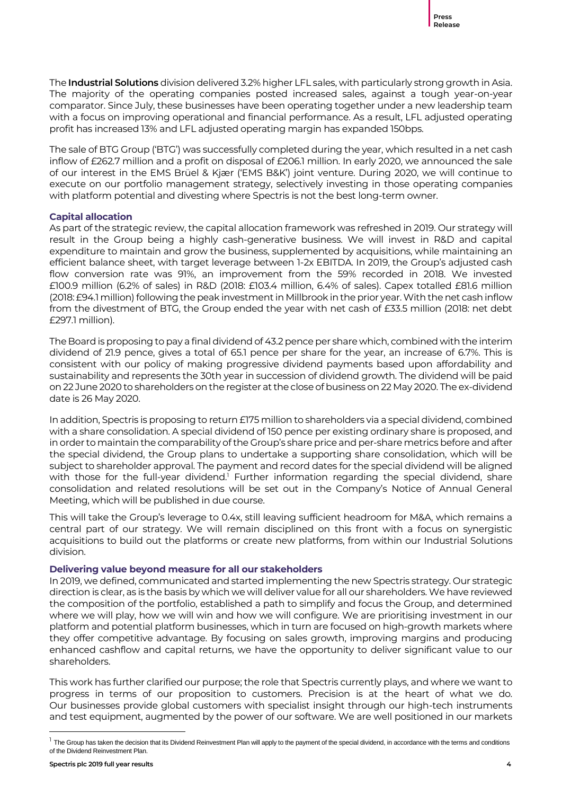The **Industrial Solutions** division delivered 3.2% higher LFL sales, with particularly strong growth in Asia. The majority of the operating companies posted increased sales, against a tough year-on-year comparator. Since July, these businesses have been operating together under a new leadership team with a focus on improving operational and financial performance. As a result, LFL adjusted operating profit has increased 13% and LFL adjusted operating margin has expanded 150bps.

The sale of BTG Group ('BTG') was successfully completed during the year, which resulted in a net cash inflow of £262.7 million and a profit on disposal of £206.1 million. In early 2020, we announced the sale of our interest in the EMS Brüel & Kjær ('EMS B&K') joint venture. During 2020, we will continue to execute on our portfolio management strategy, selectively investing in those operating companies with platform potential and divesting where Spectris is not the best long-term owner.

### **Capital allocation**

As part of the strategic review, the capital allocation framework was refreshed in 2019. Our strategy will result in the Group being a highly cash-generative business. We will invest in R&D and capital expenditure to maintain and grow the business, supplemented by acquisitions, while maintaining an efficient balance sheet, with target leverage between 1-2x EBITDA. In 2019, the Group's adjusted cash flow conversion rate was 91%, an improvement from the 59% recorded in 2018. We invested £100.9 million (6.2% of sales) in R&D (2018: £103.4 million, 6.4% of sales). Capex totalled £81.6 million (2018: £94.1million) following the peak investment in Millbrook in the prior year. With thenet cash inflow from the divestment of BTG, the Group ended the year with net cash of £33.5 million (2018: net debt £297.1 million).

The Board is proposing to pay a final dividend of 43.2 pence per share which, combined with the interim dividend of 21.9 pence, gives a total of 65.1 pence per share for the year, an increase of 6.7%. This is consistent with our policy of making progressive dividend payments based upon affordability and sustainability and represents the 30th year in succession of dividend growth. The dividend will be paid on 22 June 2020 to shareholders on the register at the close of business on 22 May 2020. The ex-dividend date is 26 May 2020.

In addition, Spectris is proposing to return £175 million to shareholders via a special dividend, combined with a share consolidation. A special dividend of 150 pence per existing ordinary share is proposed, and in order to maintain the comparability of the Group's share price and per-share metrics before and after the special dividend, the Group plans to undertake a supporting share consolidation, which will be subject to shareholder approval. The payment and record dates for the special dividend will be aligned with those for the full-year dividend.<sup>1</sup> Further information regarding the special dividend, share consolidation and related resolutions will be set out in the Company's Notice of Annual General Meeting, which will be published in due course.

This will take the Group's leverage to 0.4x, still leaving sufficient headroom for M&A, which remains a central part of our strategy. We will remain disciplined on this front with a focus on synergistic acquisitions to build out the platforms or create new platforms, from within our Industrial Solutions division.

### **Delivering value beyond measure for all our stakeholders**

In 2019, we defined, communicated and started implementing the new Spectris strategy. Our strategic direction is clear, as is the basis by which we will deliver value for all our shareholders. We have reviewed the composition of the portfolio, established a path to simplify and focus the Group, and determined where we will play, how we will win and how we will configure. We are prioritising investment in our platform and potential platform businesses, which in turn are focused on high-growth markets where they offer competitive advantage. By focusing on sales growth, improving margins and producing enhanced cashflow and capital returns, we have the opportunity to deliver significant value to our shareholders.

This work has further clarified our purpose; the role that Spectris currently plays, and where we want to progress in terms of our proposition to customers. Precision is at the heart of what we do. Our businesses provide global customers with specialist insight through our high-tech instruments and test equipment, augmented by the power of our software. We are well positioned in our markets

-

 $^1$  The Group has taken the decision that its Dividend Reinvestment Plan will apply to the payment of the special dividend, in accordance with the terms and conditions of the Dividend Reinvestment Plan.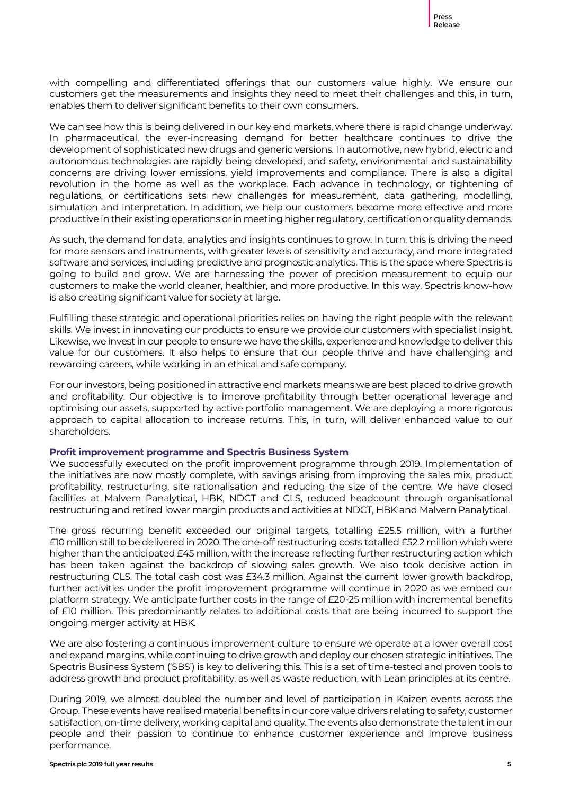with compelling and differentiated offerings that our customers value highly. We ensure our customers get the measurements and insights they need to meet their challenges and this, in turn, enables them to deliver significant benefits to their own consumers.

We can see how this is being delivered in our key end markets, where there is rapid change underway. In pharmaceutical, the ever-increasing demand for better healthcare continues to drive the development of sophisticated new drugs and generic versions. In automotive, new hybrid, electric and autonomous technologies are rapidly being developed, and safety, environmental and sustainability concerns are driving lower emissions, yield improvements and compliance. There is also a digital revolution in the home as well as the workplace. Each advance in technology, or tightening of regulations, or certifications sets new challenges for measurement, data gathering, modelling, simulation and interpretation. In addition, we help our customers become more effective and more productive in their existing operations or in meeting higher regulatory, certification or quality demands.

As such, the demand for data, analytics and insights continues to grow. In turn, this is driving the need for more sensors and instruments, with greater levels of sensitivity and accuracy, and more integrated software and services, including predictive and prognostic analytics. This is the space where Spectris is going to build and grow. We are harnessing the power of precision measurement to equip our customers to make the world cleaner, healthier, and more productive. In this way, Spectris know-how is also creating significant value for society at large.

Fulfilling these strategic and operational priorities relies on having the right people with the relevant skills. We invest in innovating our products to ensure we provide our customers with specialist insight. Likewise, we invest in our people to ensure we have the skills, experience and knowledge to deliver this value for our customers. It also helps to ensure that our people thrive and have challenging and rewarding careers, while working in an ethical and safe company.

For our investors, being positioned in attractive end markets means we are best placed to drive growth and profitability. Our objective is to improve profitability through better operational leverage and optimising our assets, supported by active portfolio management. We are deploying a more rigorous approach to capital allocation to increase returns. This, in turn, will deliver enhanced value to our shareholders.

### **Profit improvement programme and Spectris Business System**

We successfully executed on the profit improvement programme through 2019. Implementation of the initiatives are now mostly complete, with savings arising from improving the sales mix, product profitability, restructuring, site rationalisation and reducing the size of the centre. We have closed facilities at Malvern Panalytical, HBK, NDCT and CLS, reduced headcount through organisational restructuring and retired lower margin products and activities at NDCT, HBK and Malvern Panalytical.

The gross recurring benefit exceeded our original targets, totalling £25.5 million, with a further £10 million still to be delivered in 2020. The one-off restructuring costs totalled £52.2 million which were higher than the anticipated £45 million, with the increase reflecting further restructuring action which has been taken against the backdrop of slowing sales growth. We also took decisive action in restructuring CLS. The total cash cost was £34.3 million. Against the current lower growth backdrop, further activities under the profit improvement programme will continue in 2020 as we embed our platform strategy. We anticipate further costs in the range of £20-25 million with incremental benefits of £10 million. This predominantly relates to additional costs that are being incurred to support the ongoing merger activity at HBK.

We are also fostering a continuous improvement culture to ensure we operate at a lower overall cost and expand margins, while continuing to drive growth and deploy our chosen strategic initiatives. The Spectris Business System ('SBS') is key to delivering this. This is a set of time-tested and proven tools to address growth and product profitability, as well as waste reduction, with Lean principles at its centre.

During 2019, we almost doubled the number and level of participation in Kaizen events across the Group. These events have realised material benefits in our core value drivers relating to safety, customer satisfaction, on-time delivery, working capital and quality. The events also demonstrate the talent in our people and their passion to continue to enhance customer experience and improve business performance.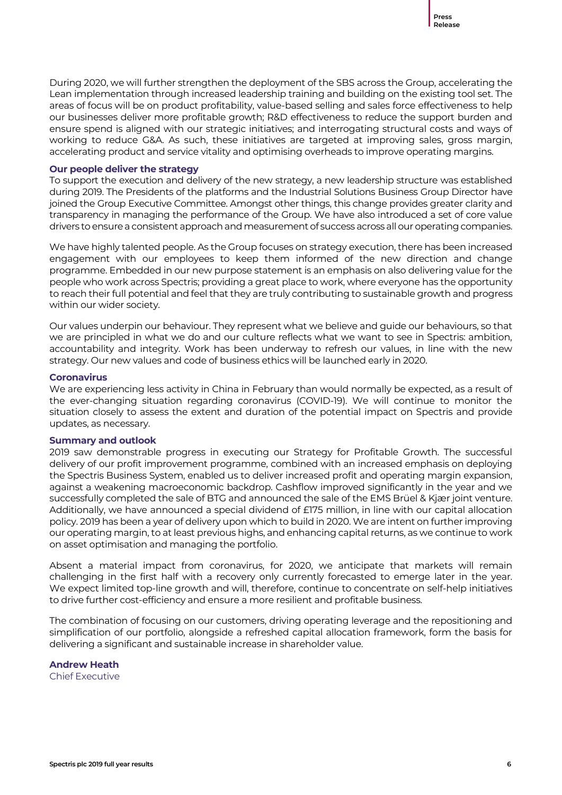During 2020, we will further strengthen the deployment of the SBS across the Group, accelerating the Lean implementation through increased leadership training and building on the existing tool set. The areas of focus will be on product profitability, value-based selling and sales force effectiveness to help our businesses deliver more profitable growth; R&D effectiveness to reduce the support burden and ensure spend is aligned with our strategic initiatives; and interrogating structural costs and ways of working to reduce G&A. As such, these initiatives are targeted at improving sales, gross margin, accelerating product and service vitality and optimising overheads to improve operating margins.

### **Our people deliver the strategy**

To support the execution and delivery of the new strategy, a new leadership structure was established during 2019. The Presidents of the platforms and the Industrial Solutions Business Group Director have joined the Group Executive Committee. Amongst other things, this change provides greater clarity and transparency in managing the performance of the Group. We have also introduced a set of core value drivers to ensure a consistent approach and measurement of success across all our operating companies.

We have highly talented people. As the Group focuses on strategy execution, there has been increased engagement with our employees to keep them informed of the new direction and change programme. Embedded in our new purpose statement is an emphasis on also delivering value for the people who work across Spectris; providing a great place to work, where everyone has the opportunity to reach their full potential and feel that they are truly contributing to sustainable growth and progress within our wider society.

Our values underpin our behaviour. They represent what we believe and guide our behaviours, so that we are principled in what we do and our culture reflects what we want to see in Spectris: ambition, accountability and integrity. Work has been underway to refresh our values, in line with the new strategy. Our new values and code of business ethics will be launched early in 2020.

### **Coronavirus**

We are experiencing less activity in China in February than would normally be expected, as a result of the ever-changing situation regarding coronavirus (COVID-19). We will continue to monitor the situation closely to assess the extent and duration of the potential impact on Spectris and provide updates, as necessary.

### **Summary and outlook**

2019 saw demonstrable progress in executing our Strategy for Profitable Growth. The successful delivery of our profit improvement programme, combined with an increased emphasis on deploying the Spectris Business System, enabled us to deliver increased profit and operating margin expansion, against a weakening macroeconomic backdrop. Cashflow improved significantly in the year and we successfully completed the sale of BTG and announced the sale of the EMS Brüel & Kjær joint venture. Additionally, we have announced a special dividend of £175 million, in line with our capital allocation policy. 2019 has been a year of delivery upon which to build in 2020. We are intent on further improving our operating margin, to at least previous highs, and enhancing capital returns, as we continue to work on asset optimisation and managing the portfolio.

Absent a material impact from coronavirus, for 2020, we anticipate that markets will remain challenging in the first half with a recovery only currently forecasted to emerge later in the year. We expect limited top-line growth and will, therefore, continue to concentrate on self-help initiatives to drive further cost-efficiency and ensure a more resilient and profitable business.

The combination of focusing on our customers, driving operating leverage and the repositioning and simplification of our portfolio, alongside a refreshed capital allocation framework, form the basis for delivering a significant and sustainable increase in shareholder value.

### **Andrew Heath**

Chief Executive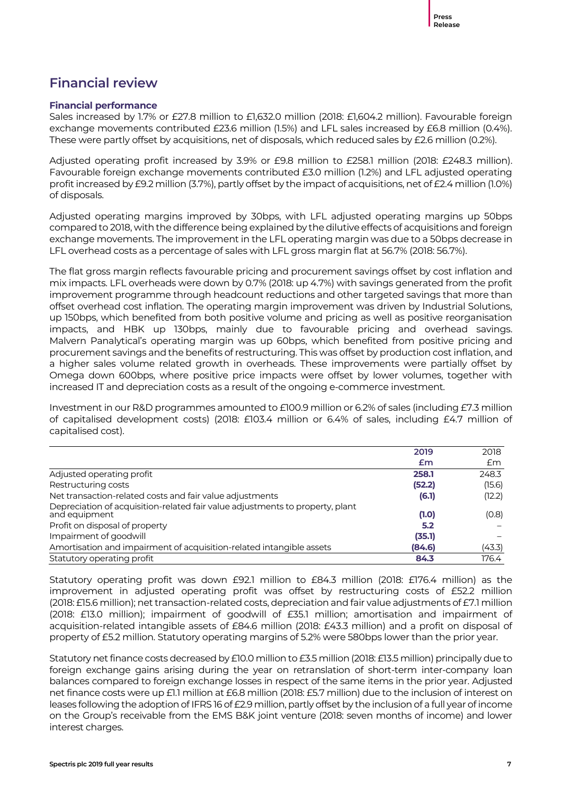### **Financial review**

### **Financial performance**

Sales increased by 1.7% or £27.8 million to £1,632.0 million (2018: £1,604.2 million). Favourable foreign exchange movements contributed £23.6 million (1.5%) and LFL sales increased by £6.8 million (0.4%). These were partly offset by acquisitions, net of disposals, which reduced sales by £2.6 million (0.2%).

Adjusted operating profit increased by 3.9% or £9.8 million to £258.1 million (2018: £248.3 million). Favourable foreign exchange movements contributed £3.0 million (1.2%) and LFL adjusted operating profit increased by £9.2 million (3.7%), partly offset by the impact of acquisitions, net of £2.4 million (1.0%) of disposals.

Adjusted operating margins improved by 30bps, with LFL adjusted operating margins up 50bps compared to 2018, with the difference being explained by the dilutive effects of acquisitions and foreign exchange movements. The improvement in the LFL operating margin was due to a 50bps decrease in LFL overhead costs as a percentage of sales with LFL gross margin flat at 56.7% (2018: 56.7%).

The flat gross margin reflects favourable pricing and procurement savings offset by cost inflation and mix impacts. LFL overheads were down by 0.7% (2018: up 4.7%) with savings generated from the profit improvement programme through headcount reductions and other targeted savings that more than offset overhead cost inflation. The operating margin improvement was driven by Industrial Solutions, up 150bps, which benefited from both positive volume and pricing as well as positive reorganisation impacts, and HBK up 130bps, mainly due to favourable pricing and overhead savings. Malvern Panalytical's operating margin was up 60bps, which benefited from positive pricing and procurement savings and the benefits of restructuring. This was offset by production cost inflation, and a higher sales volume related growth in overheads. These improvements were partially offset by Omega down 600bps, where positive price impacts were offset by lower volumes, together with increased IT and depreciation costs as a result of the ongoing e-commerce investment.

Investment in our R&D programmes amounted to £100.9 million or 6.2% of sales (including £7.3 million of capitalised development costs) (2018: £103.4 million or 6.4% of sales, including £4.7 million of capitalised cost).

|                                                                                                | 2019   | 2018   |
|------------------------------------------------------------------------------------------------|--------|--------|
|                                                                                                | £m     | £m     |
| Adjusted operating profit                                                                      | 258.1  | 248.3  |
| Restructuring costs                                                                            | (52.2) | (15.6) |
| Net transaction-related costs and fair value adjustments                                       | (6.1)  | (12.2) |
| Depreciation of acquisition-related fair value adjustments to property, plant<br>and equipment | (1.0)  | (0.8)  |
| Profit on disposal of property                                                                 | 5.2    |        |
| Impairment of goodwill                                                                         | (35.1) |        |
| Amortisation and impairment of acquisition-related intangible assets                           | (84.6) | (43.3) |
| Statutory operating profit                                                                     | 84.3   | 176.4  |

Statutory operating profit was down £92.1 million to £84.3 million (2018: £176.4 million) as the improvement in adjusted operating profit was offset by restructuring costs of £52.2 million (2018: £15.6 million); net transaction-related costs, depreciation and fair value adjustments of £7.1 million (2018: £13.0 million); impairment of goodwill of £35.1 million; amortisation and impairment of acquisition-related intangible assets of £84.6 million (2018: £43.3 million) and a profit on disposal of property of £5.2 million. Statutory operating margins of 5.2% were 580bps lower than the prior year.

Statutory net finance costs decreased by £10.0 million to £3.5 million (2018: £13.5 million) principally due to foreign exchange gains arising during the year on retranslation of short-term inter-company loan balances compared to foreign exchange losses in respect of the same items in the prior year. Adjusted net finance costs were up £1.1 million at £6.8 million (2018: £5.7 million) due to the inclusion of interest on leases following the adoption of IFRS 16 of £2.9 million, partly offset by the inclusion of a full year of income on the Group's receivable from the EMS B&K joint venture (2018: seven months of income) and lower interest charges.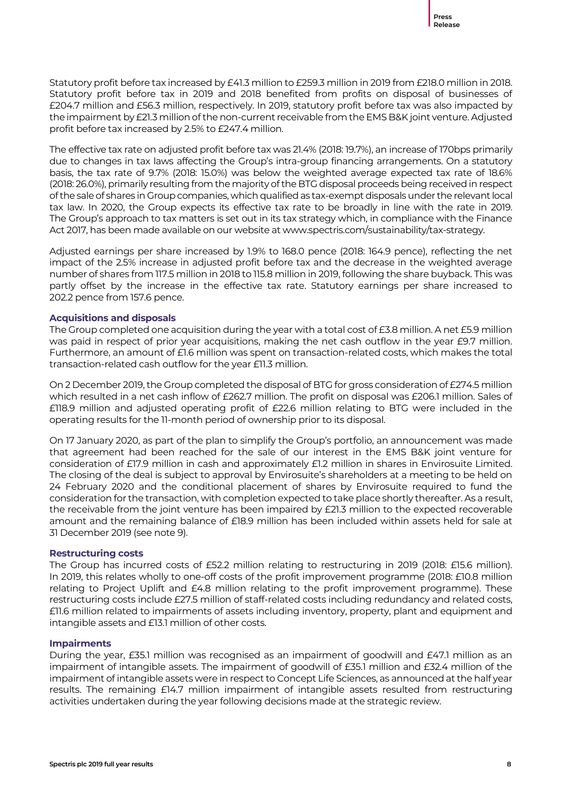Statutory profit before tax increased by £41.3 million to £259.3 million in 2019 from £218.0 million in 2018. Statutory profit before tax in 2019 and 2018 benefited from profits on disposal of businesses of £204.7 million and £56.3 million, respectively. In 2019, statutory profit before tax was also impacted by the impairment by £21.3 million of the non-current receivable from the EMS B&K joint venture. Adjusted profit before tax increased by 2.5% to £247.4 million.

The effective tax rate on adjusted profit before tax was 21.4% (2018: 19.7%), an increase of 170bps primarily due to changes in tax laws affecting the Group's intra-group financing arrangements. On a statutory basis, the tax rate of 9.7% (2018: 15.0%) was below the weighted average expected tax rate of 18.6% (2018: 26.0%), primarily resulting from the majority of the BTG disposal proceeds being received in respect of the sale of shares in Group companies, which qualified as tax-exempt disposals under the relevant local tax law. In 2020, the Group expects its effective tax rate to be broadly in line with the rate in 2019. The Group's approach to tax matters is set out in its tax strategy which, in compliance with the Finance Act 2017, has been made available on our website at www.spectris.com/sustainability/tax-strategy.

Adjusted earnings per share increased by 1.9% to 168.0 pence (2018: 164.9 pence), reflecting the net impact of the 2.5% increase in adjusted profit before tax and the decrease in the weighted average number of shares from 117.5 million in 2018 to 115.8 million in 2019, following the share buyback. This was partly offset by the increase in the effective tax rate. Statutory earnings per share increased to 202.2 pence from 157.6 pence.

### **Acquisitions and disposals**

The Group completed one acquisition during the year with a total cost of £3.8 million. A net £5.9 million was paid in respect of prior year acquisitions, making the net cash outflow in the year £9.7 million. Furthermore, an amount of £1.6 million was spent on transaction-related costs, which makes the total transaction-related cash outflow for the year £11.3 million.

On 2 December 2019, the Group completed the disposal of BTG for gross consideration of £274.5 million which resulted in a net cash inflow of £262.7 million. The profit on disposal was £206.1 million. Sales of £118.9 million and adjusted operating profit of £22.6 million relating to BTG were included in the operating results for the 11-month period of ownership prior to its disposal.

On 17 January 2020, as part of the plan to simplify the Group's portfolio, an announcement was made that agreement had been reached for the sale of our interest in the EMS B&K joint venture for consideration of £17.9 million in cash and approximately £1.2 million in shares in Envirosuite Limited. The closing of the deal is subject to approval by Envirosuite's shareholders at a meeting to be held on 24 February 2020 and the conditional placement of shares by Envirosuite required to fund the consideration for the transaction, with completion expected to take place shortly thereafter. As a result, the receivable from the joint venture has been impaired by £21.3 million to the expected recoverable amount and the remaining balance of £18.9 million has been included within assets held for sale at 31 December 2019 (see note 9).

### **Restructuring costs**

The Group has incurred costs of £52.2 million relating to restructuring in 2019 (2018: £15.6 million). In 2019, this relates wholly to one-off costs of the profit improvement programme (2018: £10.8 million relating to Project Uplift and £4.8 million relating to the profit improvement programme). These restructuring costs include £27.5 million of staff-related costs including redundancy and related costs, £11.6 million related to impairments of assets including inventory, property, plant and equipment and intangible assets and £13.1 million of other costs.

### **Impairments**

During the year, £35.1 million was recognised as an impairment of goodwill and £47.1 million as an impairment of intangible assets. The impairment of goodwill of £35.1 million and £32.4 million of the impairment of intangible assets were in respect to Concept Life Sciences, as announced at the half year results. The remaining £14.7 million impairment of intangible assets resulted from restructuring activities undertaken during the year following decisions made at the strategic review.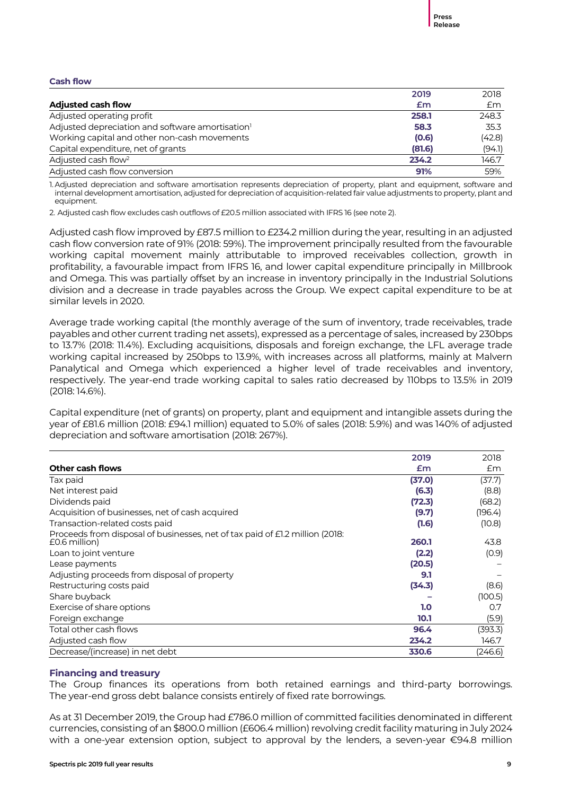#### **Cash flow**

|                                                              | 2019   | 2018   |
|--------------------------------------------------------------|--------|--------|
| <b>Adjusted cash flow</b>                                    | £m     | Em     |
| Adjusted operating profit                                    | 258.1  | 248.3  |
| Adjusted depreciation and software amortisation <sup>1</sup> | 58.3   | 35.3   |
| Working capital and other non-cash movements                 | (0.6)  | (42.8) |
| Capital expenditure, net of grants                           | (81.6) | (94.1) |
| Adjusted cash flow <sup>2</sup>                              | 234.2  | 146.7  |
| Adjusted cash flow conversion                                | 91%    | 59%    |

1. Adjusted depreciation and software amortisation represents depreciation of property, plant and equipment, software and internal development amortisation, adjusted for depreciation of acquisition-related fair value adjustments to property, plant and equipment.

2. Adjusted cash flow excludes cash outflows of £20.5 million associated with IFRS 16 (see note 2).

Adjusted cash flow improved by £87.5 million to £234.2 million during the year, resulting in an adjusted cash flow conversion rate of 91% (2018: 59%). The improvement principally resulted from the favourable working capital movement mainly attributable to improved receivables collection, growth in profitability, a favourable impact from IFRS 16, and lower capital expenditure principally in Millbrook and Omega. This was partially offset by an increase in inventory principally in the Industrial Solutions division and a decrease in trade payables across the Group. We expect capital expenditure to be at similar levels in 2020.

Average trade working capital (the monthly average of the sum of inventory, trade receivables, trade payables and other current trading net assets), expressed as a percentage of sales, increased by 230bps to 13.7% (2018: 11.4%). Excluding acquisitions, disposals and foreign exchange, the LFL average trade working capital increased by 250bps to 13.9%, with increases across all platforms, mainly at Malvern Panalytical and Omega which experienced a higher level of trade receivables and inventory, respectively. The year-end trade working capital to sales ratio decreased by 110bps to 13.5% in 2019 (2018: 14.6%).

Capital expenditure (net of grants) on property, plant and equipment and intangible assets during the year of £81.6 million (2018: £94.1 million) equated to 5.0% of sales (2018: 5.9%) and was 140% of adjusted depreciation and software amortisation (2018: 267%).

|                                                                                               | 2019   | 2018    |
|-----------------------------------------------------------------------------------------------|--------|---------|
| <b>Other cash flows</b>                                                                       | £m     | £m      |
| Tax paid                                                                                      | (37.0) | (37.7)  |
| Net interest paid                                                                             | (6.3)  | (8.8)   |
| Dividends paid                                                                                | (72.3) | (68.2)  |
| Acquisition of businesses, net of cash acquired                                               | (9.7)  | (196.4) |
| Transaction-related costs paid                                                                | (1.6)  | (10.8)  |
| Proceeds from disposal of businesses, net of tax paid of £1.2 million (2018:<br>£0.6 million) | 260.1  | 43.8    |
| Loan to joint venture                                                                         | (2.2)  | (0.9)   |
| Lease payments                                                                                | (20.5) |         |
| Adjusting proceeds from disposal of property                                                  | 9.1    |         |
| Restructuring costs paid                                                                      | (34.3) | (8.6)   |
| Share buyback                                                                                 |        | (100.5) |
| Exercise of share options                                                                     | 1.0    | 0.7     |
| Foreign exchange                                                                              | 10.1   | (5.9)   |
| Total other cash flows                                                                        | 96.4   | (393.3) |
| Adjusted cash flow                                                                            | 234.2  | 146.7   |
| Decrease/(increase) in net debt                                                               | 330.6  | (246.6) |

### **Financing and treasury**

The Group finances its operations from both retained earnings and third-party borrowings. The year-end gross debt balance consists entirely of fixed rate borrowings.

As at 31 December 2019, the Group had £786.0 million of committed facilities denominated in different currencies, consisting of an \$800.0 million (£606.4 million) revolving credit facility maturing in July 2024 with a one-year extension option, subject to approval by the lenders, a seven-year €94.8 million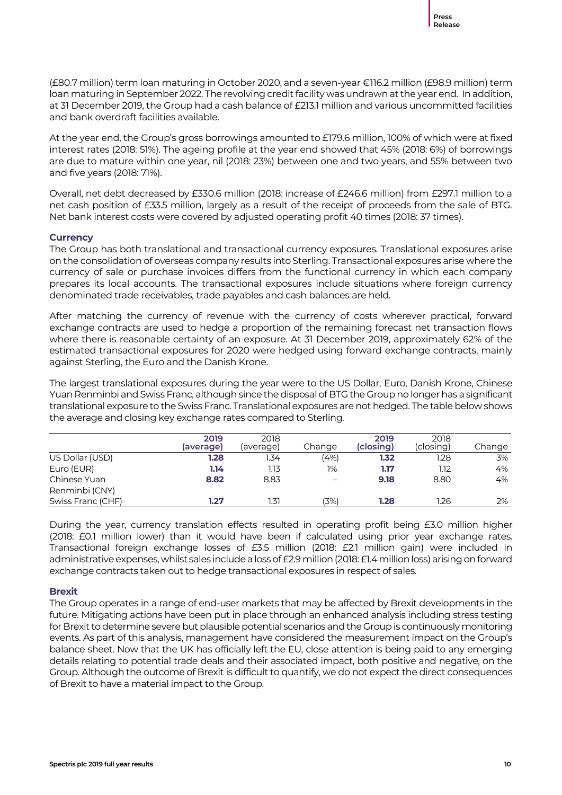(£80.7 million) term loan maturing in October 2020, and a seven-year €116.2 million (£98.9 million) term loan maturing in September 2022. The revolving credit facility was undrawn at the year end. In addition, at 31 December 2019, the Group had a cash balance of £213.1 million and various uncommitted facilities and bank overdraft facilities available.

At the year end, the Group's gross borrowings amounted to £179.6 million, 100% of which were at fixed interest rates (2018: 51%). The ageing profile at the year end showed that 45% (2018: 6%) of borrowings are due to mature within one year, nil (2018: 23%) between one and two years, and 55% between two and five years (2018: 71%).

Overall, net debt decreased by £330.6 million (2018: increase of £246.6 million) from £297.1 million to a net cash position of £33.5 million, largely as a result of the receipt of proceeds from the sale of BTG. Net bank interest costs were covered by adjusted operating profit 40 times (2018: 37 times).

### **Currency**

The Group has both translational and transactional currency exposures. Translational exposures arise on the consolidation of overseas company results into Sterling. Transactional exposures arise where the currency of sale or purchase invoices differs from the functional currency in which each company prepares its local accounts. The transactional exposures include situations where foreign currency denominated trade receivables, trade payables and cash balances are held.

After matching the currency of revenue with the currency of costs wherever practical, forward exchange contracts are used to hedge a proportion of the remaining forecast net transaction flows where there is reasonable certainty of an exposure. At 31 December 2019, approximately 62% of the estimated transactional exposures for 2020 were hedged using forward exchange contracts, mainly against Sterling, the Euro and the Danish Krone.

The largest translational exposures during the year were to the US Dollar, Euro, Danish Krone, Chinese Yuan Renminbi and Swiss Franc, although since the disposal of BTG the Group no longer has a significant translational exposure to the Swiss Franc. Translational exposures are not hedged. The table below shows the average and closing key exchange rates compared to Sterling.

|                   | 2019<br>(average) | 2018<br>(average) | Change                   | 2019<br>(closing) | 2018<br>(closing) | Change |
|-------------------|-------------------|-------------------|--------------------------|-------------------|-------------------|--------|
| US Dollar (USD)   | 1.28              | 1.34              | (4%)                     | 1.32              | 1.28              | 3%     |
| Euro (EUR)        | 1.14              | 1.13              | $1\%$                    | 1.17              | 1.12              | 4%     |
| Chinese Yuan      | 8.82              | 8.83              | $\overline{\phantom{0}}$ | 9.18              | 8.80              | 4%     |
| Renminbi (CNY)    |                   |                   |                          |                   |                   |        |
| Swiss Franc (CHF) | 1.27              | 1.31              | (3%)                     | 1.28              | 1.26              | 2%     |

During the year, currency translation effects resulted in operating profit being £3.0 million higher (2018: £0.1 million lower) than it would have been if calculated using prior year exchange rates. Transactional foreign exchange losses of £3.5 million (2018: £2.1 million gain) were included in administrative expenses, whilst sales include a loss of £2.9 million (2018: £1.4 million loss) arising on forward exchange contracts taken out to hedge transactional exposures in respect of sales.

### **Brexit**

The Group operates in a range of end-user markets that may be affected by Brexit developments in the future. Mitigating actions have been put in place through an enhanced analysis including stress testing for Brexit to determine severe but plausible potential scenarios and the Group is continuously monitoring events. As part of this analysis, management have considered the measurement impact on the Group's balance sheet. Now that the UK has officially left the EU, close attention is being paid to any emerging details relating to potential trade deals and their associated impact, both positive and negative, on the Group. Although the outcome of Brexit is difficult to quantify, we do not expect the direct consequences of Brexit to have a material impact to the Group.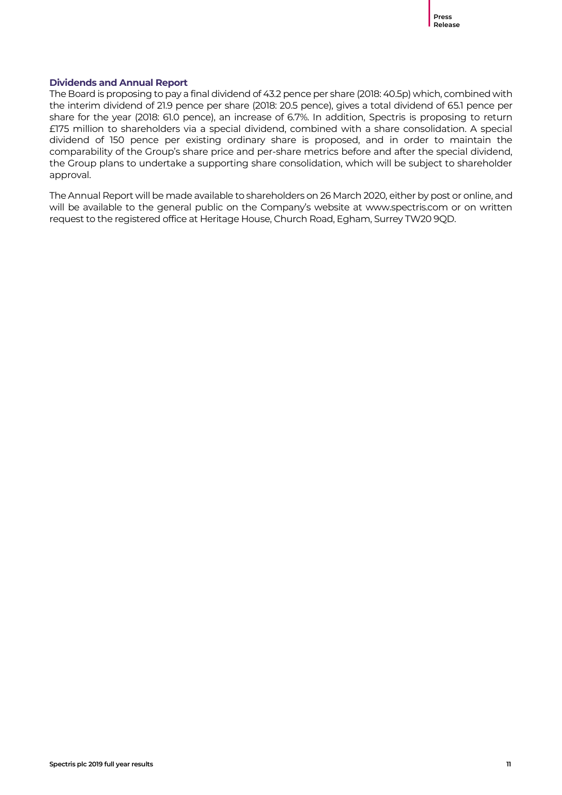### **Dividends and Annual Report**

The Board is proposing to pay a final dividend of 43.2 pence per share (2018: 40.5p) which, combined with the interim dividend of 21.9 pence per share (2018: 20.5 pence), gives a total dividend of 65.1 pence per share for the year (2018: 61.0 pence), an increase of 6.7%. In addition, Spectris is proposing to return £175 million to shareholders via a special dividend, combined with a share consolidation. A special dividend of 150 pence per existing ordinary share is proposed, and in order to maintain the comparability of the Group's share price and per-share metrics before and after the special dividend, the Group plans to undertake a supporting share consolidation, which will be subject to shareholder approval.

The Annual Report will be made available to shareholders on 26 March 2020, either by post or online, and will be available to the general public on the Company's website at www.spectris.com or on written request to the registered office at Heritage House, Church Road, Egham, Surrey TW20 9QD.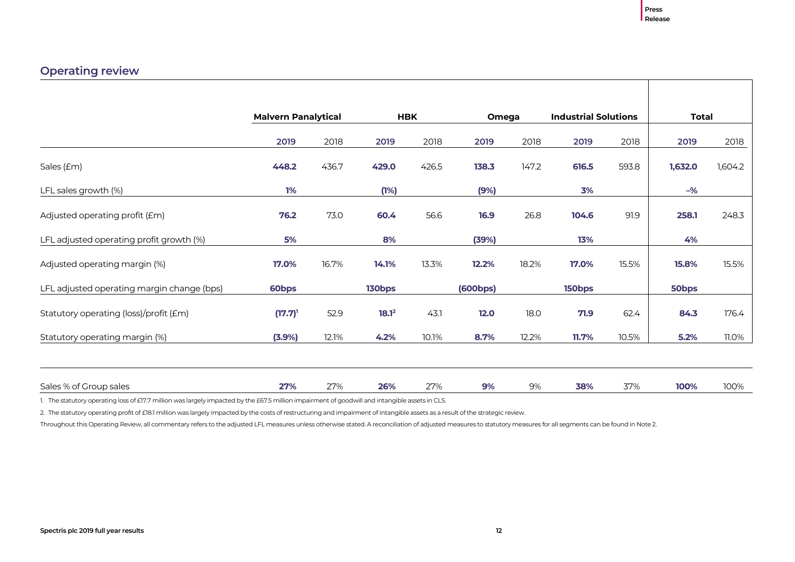### **Operating review**

|                                            | <b>Malvern Panalytical</b> |       |                   | <b>HBK</b> | Omega    |       | <b>Industrial Solutions</b> |       | <b>Total</b>   |         |
|--------------------------------------------|----------------------------|-------|-------------------|------------|----------|-------|-----------------------------|-------|----------------|---------|
|                                            | 2019                       | 2018  | 2019              | 2018       | 2019     | 2018  | 2019                        | 2018  | 2019           | 2018    |
| Sales (£m)                                 | 448.2                      | 436.7 | 429.0             | 426.5      | 138.3    | 147.2 | 616.5                       | 593.8 | 1,632.0        | 1,604.2 |
| LFL sales growth (%)                       | 1%                         |       | (1%)              |            | (9%)     |       | 3%                          |       | $-\frac{9}{6}$ |         |
| Adjusted operating profit (£m)             | 76.2                       | 73.0  | 60.4              | 56.6       | 16.9     | 26.8  | 104.6                       | 91.9  | 258.1          | 248.3   |
| LFL adjusted operating profit growth (%)   | 5%                         |       | 8%                |            | (39%)    |       | 13%                         |       | 4%             |         |
| Adjusted operating margin (%)              | 17.0%                      | 16.7% | 14.1%             | 13.3%      | 12.2%    | 18.2% | 17.0%                       | 15.5% | 15.8%          | 15.5%   |
| LFL adjusted operating margin change (bps) | 60bps                      |       | 130bps            |            | (600bps) |       | 150bps                      |       | 50bps          |         |
| Statutory operating (loss)/profit (£m)     | $(17.7)^1$                 | 52.9  | 18.1 <sup>2</sup> | 43.1       | 12.0     | 18.0  | 71.9                        | 62.4  | 84.3           | 176.4   |
| Statutory operating margin (%)             | $(3.9\%)$                  | 12.1% | 4.2%              | 10.1%      | 8.7%     | 12.2% | 11.7%                       | 10.5% | 5.2%           | 11.0%   |
|                                            |                            |       |                   |            |          |       |                             |       |                |         |
| Sales % of Group sales                     | 27%                        | 27%   | 26%               | 27%        | 9%       | 9%    | 38%                         | 37%   | 100%           | 100%    |

1. The statutory operating loss of £17.7 million was largely impacted by the £67.5 million impairment of goodwill and intangible assets in CLS.

2. The statutory operating profit of £18.1 million was largely impacted by the costs of restructuring and impairment of intangible assets as a result of the strategic review.

Throughout this Operating Review, all commentary refers to the adjusted LFL measures unless otherwise stated. A reconciliation of adjusted measures to statutory measures for all segments can be found in Note 2.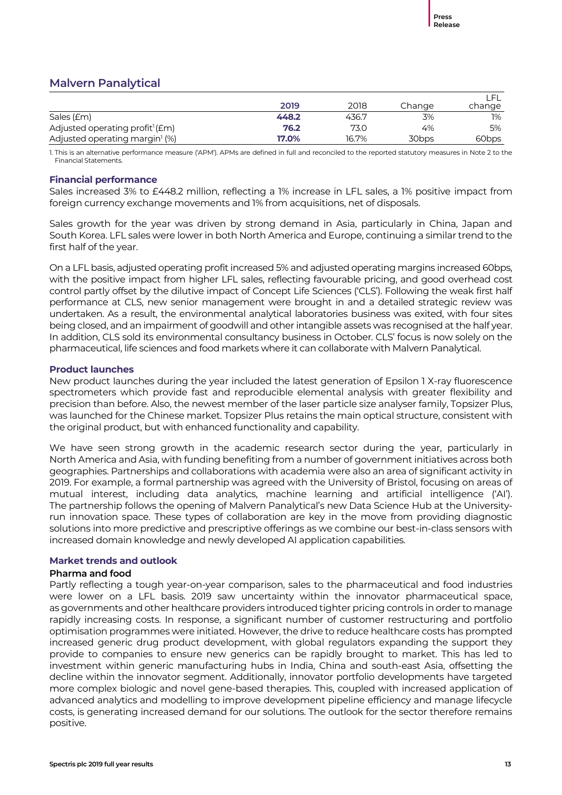### **Malvern Panalytical**

|                                             | 2019  | 2018  | Change | change            |
|---------------------------------------------|-------|-------|--------|-------------------|
| Sales (£m)                                  | 448.2 | 436.7 | 3%     | 1%                |
| Adjusted operating profit <sup>1</sup> (£m) | 76.2  | 73.0  | 4%     | 5%                |
| Adjusted operating margin <sup>1</sup> (%)  | 17.0% | 16.7% | 30bps  | 60 <sub>bps</sub> |

1. This is an alternative performance measure ('APM'). APMs are defined in full and reconciled to the reported statutory measures in Note 2 to the Financial Statements.

### **Financial performance**

Sales increased 3% to £448.2 million, reflecting a 1% increase in LFL sales, a 1% positive impact from foreign currency exchange movements and 1% from acquisitions, net of disposals.

Sales growth for the year was driven by strong demand in Asia, particularly in China, Japan and South Korea. LFL sales were lower in both North America and Europe, continuing a similar trend to the first half of the year.

On a LFL basis, adjusted operating profit increased 5% and adjusted operating margins increased 60bps, with the positive impact from higher LFL sales, reflecting favourable pricing, and good overhead cost control partly offset by the dilutive impact of Concept Life Sciences ('CLS'). Following the weak first half performance at CLS, new senior management were brought in and a detailed strategic review was undertaken. As a result, the environmental analytical laboratories business was exited, with four sites being closed, and an impairment of goodwill and other intangible assets was recognised at the half year. In addition, CLS sold its environmental consultancy business in October. CLS' focus is now solely on the pharmaceutical, life sciences and food markets where it can collaborate with Malvern Panalytical.

### **Product launches**

New product launches during the year included the latest generation of Epsilon 1 X-ray fluorescence spectrometers which provide fast and reproducible elemental analysis with greater flexibility and precision than before. Also, the newest member of the laser particle size analyser family, Topsizer Plus, was launched for the Chinese market. Topsizer Plus retains the main optical structure, consistent with the original product, but with enhanced functionality and capability.

We have seen strong growth in the academic research sector during the year, particularly in North America and Asia, with funding benefiting from a number of government initiatives across both geographies. Partnerships and collaborations with academia were also an area of significant activity in 2019. For example, a formal partnership was agreed with the University of Bristol, focusing on areas of mutual interest, including data analytics, machine learning and artificial intelligence ('AI'). The partnership follows the opening of Malvern Panalytical's new Data Science Hub at the Universityrun innovation space. These types of collaboration are key in the move from providing diagnostic solutions into more predictive and prescriptive offerings as we combine our best-in-class sensors with increased domain knowledge and newly developed AI application capabilities.

### **Market trends and outlook**

### **Pharma and food**

Partly reflecting a tough year-on-year comparison, sales to the pharmaceutical and food industries were lower on a LFL basis. 2019 saw uncertainty within the innovator pharmaceutical space, as governments and other healthcare providers introduced tighter pricing controls in order to manage rapidly increasing costs. In response, a significant number of customer restructuring and portfolio optimisation programmes were initiated. However, the drive to reduce healthcare costs has prompted increased generic drug product development, with global regulators expanding the support they provide to companies to ensure new generics can be rapidly brought to market. This has led to investment within generic manufacturing hubs in India, China and south-east Asia, offsetting the decline within the innovator segment. Additionally, innovator portfolio developments have targeted more complex biologic and novel gene-based therapies. This, coupled with increased application of advanced analytics and modelling to improve development pipeline efficiency and manage lifecycle costs, is generating increased demand for our solutions. The outlook for the sector therefore remains positive.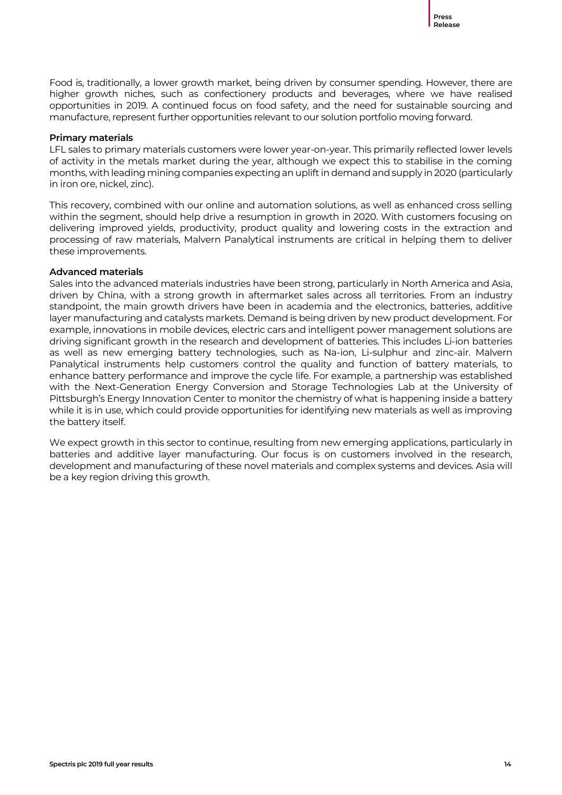Food is, traditionally, a lower growth market, being driven by consumer spending. However, there are higher growth niches, such as confectionery products and beverages, where we have realised opportunities in 2019. A continued focus on food safety, and the need for sustainable sourcing and manufacture, represent further opportunities relevant to our solution portfolio moving forward.

### **Primary materials**

LFL sales to primary materials customers were lower year-on-year. This primarily reflected lower levels of activity in the metals market during the year, although we expect this to stabilise in the coming months, with leading mining companies expecting an uplift in demand and supply in 2020 (particularly in iron ore, nickel, zinc).

This recovery, combined with our online and automation solutions, as well as enhanced cross selling within the segment, should help drive a resumption in growth in 2020. With customers focusing on delivering improved yields, productivity, product quality and lowering costs in the extraction and processing of raw materials, Malvern Panalytical instruments are critical in helping them to deliver these improvements.

### **Advanced materials**

Sales into the advanced materials industries have been strong, particularly in North America and Asia, driven by China, with a strong growth in aftermarket sales across all territories. From an industry standpoint, the main growth drivers have been in academia and the electronics, batteries, additive layer manufacturing and catalysts markets. Demand is being driven by new product development. For example, innovations in mobile devices, electric cars and intelligent power management solutions are driving significant growth in the research and development of batteries. This includes Li-ion batteries as well as new emerging battery technologies, such as Na-ion, Li-sulphur and zinc-air. Malvern Panalytical instruments help customers control the quality and function of battery materials, to enhance battery performance and improve the cycle life. For example, a partnership was established with the Next-Generation Energy Conversion and Storage Technologies Lab at the University of Pittsburgh's Energy Innovation Center to monitor the chemistry of what is happening inside a battery while it is in use, which could provide opportunities for identifying new materials as well as improving the battery itself.

We expect growth in this sector to continue, resulting from new emerging applications, particularly in batteries and additive layer manufacturing. Our focus is on customers involved in the research, development and manufacturing of these novel materials and complex systems and devices. Asia will be a key region driving this growth.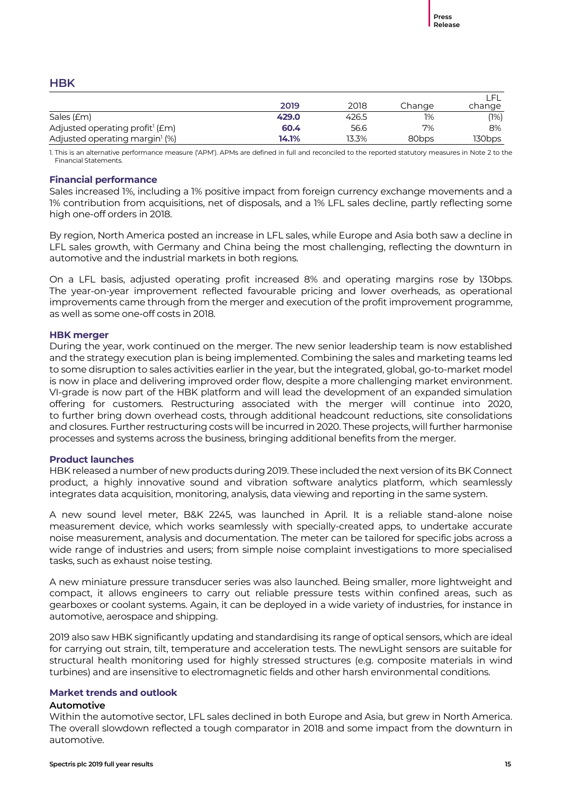### **HBK**

|                                             | 2019  | 2018  | Change            | change |
|---------------------------------------------|-------|-------|-------------------|--------|
| Sales (£m)                                  | 429.0 | 426.5 | 1%                | (1%)   |
| Adjusted operating profit <sup>1</sup> (£m) | 60.4  | 56.6  | 7%                | 8%     |
| Adjusted operating margin <sup>1</sup> (%)  | 14.1% | 13.3% | 80 <sub>bps</sub> | 130bps |

1. This is an alternative performance measure ('APM'). APMs are defined in full and reconciled to the reported statutory measures in Note 2 to the Financial Statements.

### **Financial performance**

Sales increased 1%, including a 1% positive impact from foreign currency exchange movements and a 1% contribution from acquisitions, net of disposals, and a 1% LFL sales decline, partly reflecting some high one-off orders in 2018.

By region, North America posted an increase in LFL sales, while Europe and Asia both saw a decline in LFL sales growth, with Germany and China being the most challenging, reflecting the downturn in automotive and the industrial markets in both regions.

On a LFL basis, adjusted operating profit increased 8% and operating margins rose by 130bps. The year-on-year improvement reflected favourable pricing and lower overheads, as operational improvements came through from the merger and execution of the profit improvement programme, as well as some one-off costs in 2018.

### **HBK merger**

During the year, work continued on the merger. The new senior leadership team is now established and the strategy execution plan is being implemented. Combining the sales and marketing teams led to some disruption to sales activities earlier in the year, but the integrated, global, go-to-market model is now in place and delivering improved order flow, despite a more challenging market environment. VI-grade is now part of the HBK platform and will lead the development of an expanded simulation offering for customers. Restructuring associated with the merger will continue into 2020, to further bring down overhead costs, through additional headcount reductions, site consolidations and closures. Further restructuring costs will be incurred in 2020. These projects, will further harmonise processes and systems across the business, bringing additional benefits from the merger.

### **Product launches**

HBK released a number of new products during 2019. These included the next version of its BK Connect product, a highly innovative sound and vibration software analytics platform, which seamlessly integrates data acquisition, monitoring, analysis, data viewing and reporting in the same system.

A new sound level meter, B&K 2245, was launched in April. It is a reliable stand-alone noise measurement device, which works seamlessly with specially-created apps, to undertake accurate noise measurement, analysis and documentation. The meter can be tailored for specific jobs across a wide range of industries and users; from simple noise complaint investigations to more specialised tasks, such as exhaust noise testing.

A new miniature pressure transducer series was also launched. Being smaller, more lightweight and compact, it allows engineers to carry out reliable pressure tests within confined areas, such as gearboxes or coolant systems. Again, it can be deployed in a wide variety of industries, for instance in automotive, aerospace and shipping.

2019 also saw HBK significantly updating and standardising its range of optical sensors, which are ideal for carrying out strain, tilt, temperature and acceleration tests. The newLight sensors are suitable for structural health monitoring used for highly stressed structures (e.g. composite materials in wind turbines) and are insensitive to electromagnetic fields and other harsh environmental conditions.

### **Market trends and outlook**

### **Automotive**

Within the automotive sector, LFL sales declined in both Europe and Asia, but grew in North America. The overall slowdown reflected a tough comparator in 2018 and some impact from the downturn in automotive.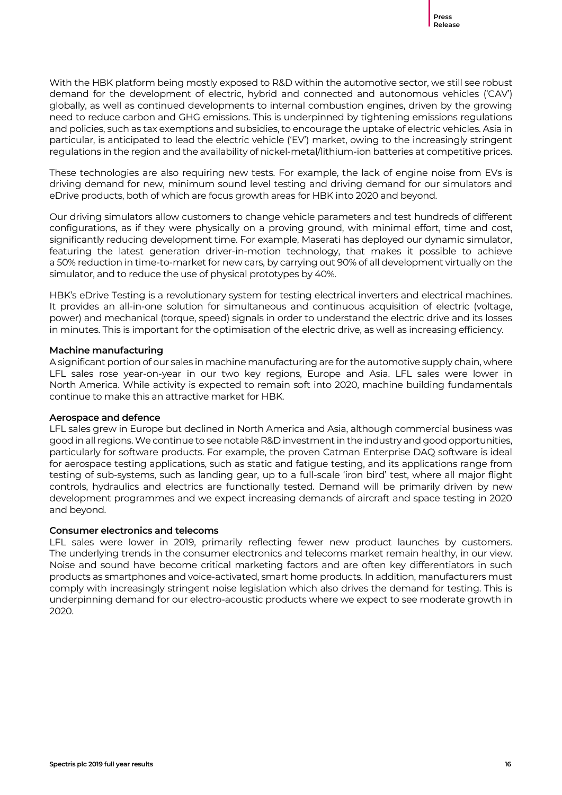With the HBK platform being mostly exposed to R&D within the automotive sector, we still see robust demand for the development of electric, hybrid and connected and autonomous vehicles ('CAV') globally, as well as continued developments to internal combustion engines, driven by the growing need to reduce carbon and GHG emissions. This is underpinned by tightening emissions regulations and policies, such as tax exemptions and subsidies, to encourage the uptake of electric vehicles. Asia in particular, is anticipated to lead the electric vehicle ('EV') market, owing to the increasingly stringent regulations in the region and the availability of nickel-metal/lithium-ion batteries at competitive prices.

These technologies are also requiring new tests. For example, the lack of engine noise from EVs is driving demand for new, minimum sound level testing and driving demand for our simulators and eDrive products, both of which are focus growth areas for HBK into 2020 and beyond.

Our driving simulators allow customers to change vehicle parameters and test hundreds of different configurations, as if they were physically on a proving ground, with minimal effort, time and cost, significantly reducing development time. For example, Maserati has deployed our dynamic simulator, featuring the latest generation driver-in-motion technology, that makes it possible to achieve a 50% reduction in time-to-market for new cars, by carrying out 90% of all development virtually on the simulator, and to reduce the use of physical prototypes by 40%.

HBK's eDrive Testing is a revolutionary system for testing electrical inverters and electrical machines. It provides an all-in-one solution for simultaneous and continuous acquisition of electric (voltage, power) and mechanical (torque, speed) signals in order to understand the electric drive and its losses in minutes. This is important for the optimisation of the electric drive, as well as increasing efficiency.

### **Machine manufacturing**

A significant portion of our sales in machine manufacturing are for the automotive supply chain, where LFL sales rose year-on-year in our two key regions, Europe and Asia. LFL sales were lower in North America. While activity is expected to remain soft into 2020, machine building fundamentals continue to make this an attractive market for HBK.

### **Aerospace and defence**

LFL sales grew in Europe but declined in North America and Asia, although commercial business was good in all regions. We continue to see notable R&D investment in the industry and good opportunities, particularly for software products. For example, the proven Catman Enterprise DAQ software is ideal for aerospace testing applications, such as static and fatigue testing, and its applications range from testing of sub-systems, such as landing gear, up to a full-scale 'iron bird' test, where all major flight controls, hydraulics and electrics are functionally tested. Demand will be primarily driven by new development programmes and we expect increasing demands of aircraft and space testing in 2020 and beyond.

### **Consumer electronics and telecoms**

LFL sales were lower in 2019, primarily reflecting fewer new product launches by customers. The underlying trends in the consumer electronics and telecoms market remain healthy, in our view. Noise and sound have become critical marketing factors and are often key differentiators in such products as smartphones and voice-activated, smart home products. In addition, manufacturers must comply with increasingly stringent noise legislation which also drives the demand for testing. This is underpinning demand for our electro-acoustic products where we expect to see moderate growth in 2020.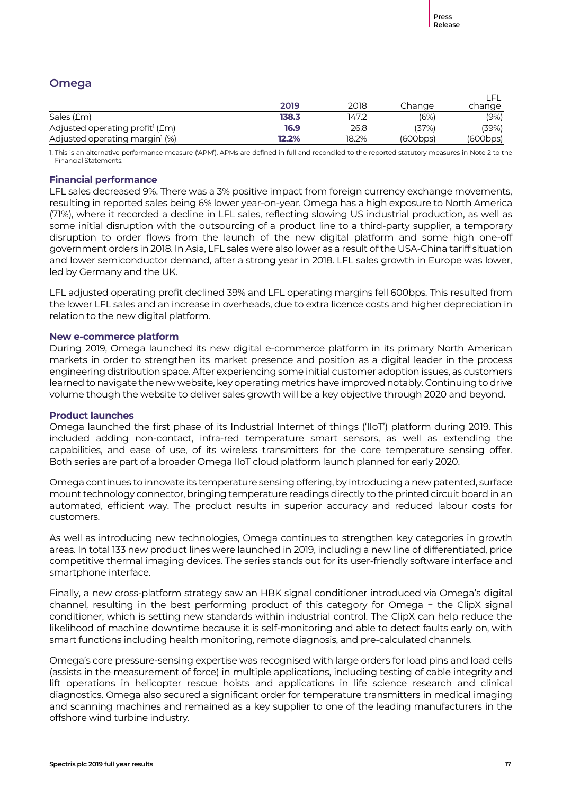### **Omega**

|                                                 | 2019  | 2018  | Change   | change   |
|-------------------------------------------------|-------|-------|----------|----------|
| Sales (£m)                                      | 138.3 | 147.2 | (6%)     | (9%)     |
| Adjusted operating profit <sup>1</sup> ( $Em$ ) | 16.9  | 26.8  | (37%)    | (39%)    |
| Adjusted operating margin <sup>1</sup> (%)      | 12.2% | 18.2% | (600bps) | (600bps) |

1. This is an alternative performance measure ('APM'). APMs are defined in full and reconciled to the reported statutory measures in Note 2 to the Financial Statements.

### **Financial performance**

LFL sales decreased 9%. There was a 3% positive impact from foreign currency exchange movements, resulting in reported sales being 6% lower year-on-year. Omega has a high exposure to North America (71%), where it recorded a decline in LFL sales, reflecting slowing US industrial production, as well as some initial disruption with the outsourcing of a product line to a third-party supplier, a temporary disruption to order flows from the launch of the new digital platform and some high one-off government orders in 2018. In Asia, LFL sales were also lower as a result of the USA-China tariff situation and lower semiconductor demand, after a strong year in 2018. LFL sales growth in Europe was lower, led by Germany and the UK.

LFL adjusted operating profit declined 39% and LFL operating margins fell 600bps. This resulted from the lower LFL sales and an increase in overheads, due to extra licence costs and higher depreciation in relation to the new digital platform.

### **New e-commerce platform**

During 2019, Omega launched its new digital e-commerce platform in its primary North American markets in order to strengthen its market presence and position as a digital leader in the process engineering distribution space. After experiencing some initial customer adoption issues, as customers learned to navigate the new website, key operating metrics have improved notably. Continuing to drive volume though the website to deliver sales growth will be a key objective through 2020 and beyond.

### **Product launches**

Omega launched the first phase of its Industrial Internet of things ('IIoT') platform during 2019. This included adding non-contact, infra-red temperature smart sensors, as well as extending the capabilities, and ease of use, of its wireless transmitters for the core temperature sensing offer. Both series are part of a broader Omega IIoT cloud platform launch planned for early 2020.

Omega continues to innovate its temperature sensing offering, by introducing a new patented, surface mount technology connector, bringing temperature readings directly to the printed circuit board in an automated, efficient way. The product results in superior accuracy and reduced labour costs for customers.

As well as introducing new technologies, Omega continues to strengthen key categories in growth areas. In total 133 new product lines were launched in 2019, including a new line of differentiated, price competitive thermal imaging devices. The series stands out for its user-friendly software interface and smartphone interface.

Finally, a new cross-platform strategy saw an HBK signal conditioner introduced via Omega's digital channel, resulting in the best performing product of this category for Omega − the ClipX signal conditioner, which is setting new standards within industrial control. The ClipX can help reduce the likelihood of machine downtime because it is self-monitoring and able to detect faults early on, with smart functions including health monitoring, remote diagnosis, and pre-calculated channels.

Omega's core pressure-sensing expertise was recognised with large orders for load pins and load cells (assists in the measurement of force) in multiple applications, including testing of cable integrity and lift operations in helicopter rescue hoists and applications in life science research and clinical diagnostics. Omega also secured a significant order for temperature transmitters in medical imaging and scanning machines and remained as a key supplier to one of the leading manufacturers in the offshore wind turbine industry.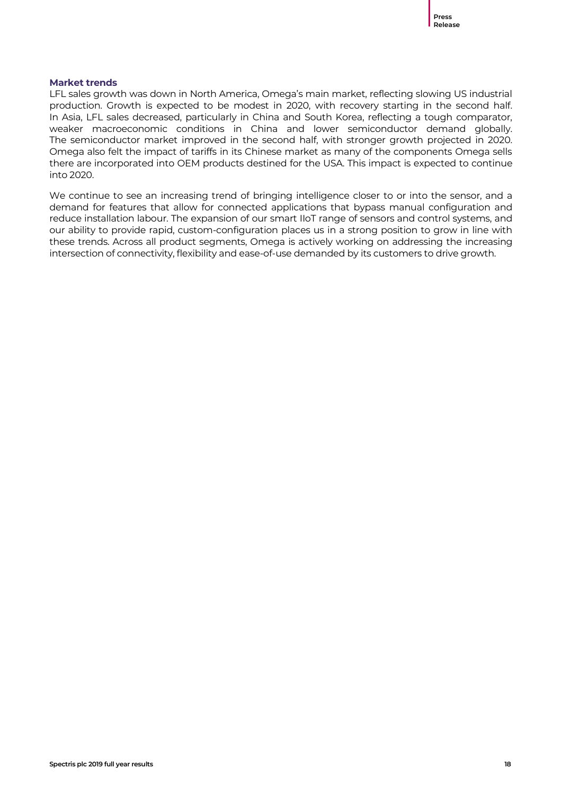### **Market trends**

LFL sales growth was down in North America, Omega's main market, reflecting slowing US industrial production. Growth is expected to be modest in 2020, with recovery starting in the second half. In Asia, LFL sales decreased, particularly in China and South Korea, reflecting a tough comparator, weaker macroeconomic conditions in China and lower semiconductor demand globally. The semiconductor market improved in the second half, with stronger growth projected in 2020. Omega also felt the impact of tariffs in its Chinese market as many of the components Omega sells there are incorporated into OEM products destined for the USA. This impact is expected to continue into 2020.

We continue to see an increasing trend of bringing intelligence closer to or into the sensor, and a demand for features that allow for connected applications that bypass manual configuration and reduce installation labour. The expansion of our smart IIoT range of sensors and control systems, and our ability to provide rapid, custom-configuration places us in a strong position to grow in line with these trends. Across all product segments, Omega is actively working on addressing the increasing intersection of connectivity, flexibility and ease-of-use demanded by its customers to drive growth.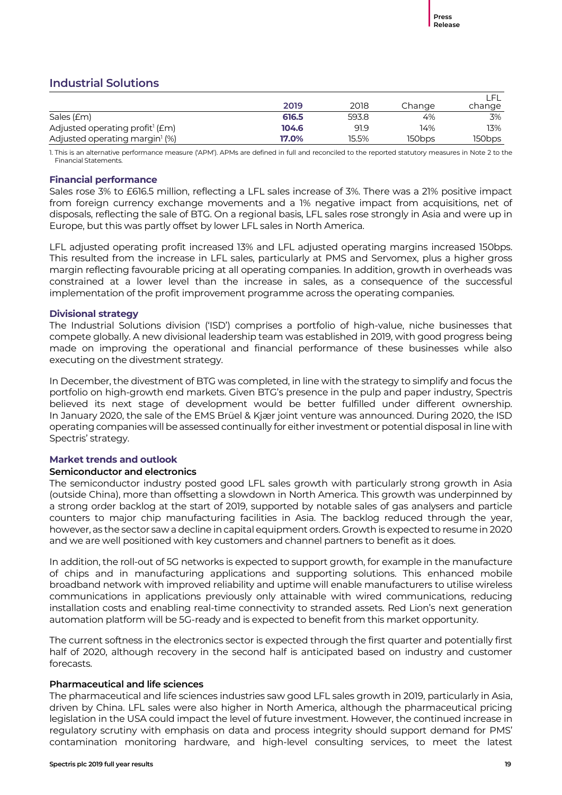### **Industrial Solutions**

|                                                 | 2019  | 2018  | Change | change |
|-------------------------------------------------|-------|-------|--------|--------|
| Sales (£m)                                      | 616.5 | 593.8 | 4%     | 3%     |
| Adjusted operating profit <sup>1</sup> ( $Em$ ) | 104.6 | 91.9  | 14%    | 13%    |
| Adjusted operating margin <sup>1</sup> (%)      | 17.0% | 15.5% | 150bps | 150bps |

1. This is an alternative performance measure ('APM'). APMs are defined in full and reconciled to the reported statutory measures in Note 2 to the Financial Statements.

### **Financial performance**

Sales rose 3% to £616.5 million, reflecting a LFL sales increase of 3%. There was a 21% positive impact from foreign currency exchange movements and a 1% negative impact from acquisitions, net of disposals, reflecting the sale of BTG. On a regional basis, LFL sales rose strongly in Asia and were up in Europe, but this was partly offset by lower LFL sales in North America.

LFL adjusted operating profit increased 13% and LFL adjusted operating margins increased 150bps. This resulted from the increase in LFL sales, particularly at PMS and Servomex, plus a higher gross margin reflecting favourable pricing at all operating companies. In addition, growth in overheads was constrained at a lower level than the increase in sales, as a consequence of the successful implementation of the profit improvement programme across the operating companies.

### **Divisional strategy**

The Industrial Solutions division ('ISD') comprises a portfolio of high-value, niche businesses that compete globally. A new divisional leadership team was established in 2019, with good progress being made on improving the operational and financial performance of these businesses while also executing on the divestment strategy.

In December, the divestment of BTG was completed, in line with the strategy to simplify and focus the portfolio on high-growth end markets. Given BTG's presence in the pulp and paper industry, Spectris believed its next stage of development would be better fulfilled under different ownership. In January 2020, the sale of the EMS Brüel & Kjær joint venture was announced. During 2020, the ISD operating companies will be assessed continually for either investment or potential disposal in line with Spectris' strategy.

### **Market trends and outlook**

### **Semiconductor and electronics**

The semiconductor industry posted good LFL sales growth with particularly strong growth in Asia (outside China), more than offsetting a slowdown in North America. This growth was underpinned by a strong order backlog at the start of 2019, supported by notable sales of gas analysers and particle counters to major chip manufacturing facilities in Asia. The backlog reduced through the year, however, as the sector saw a decline in capital equipment orders. Growth is expected to resume in 2020 and we are well positioned with key customers and channel partners to benefit as it does.

In addition, the roll-out of 5G networks is expected to support growth, for example in the manufacture of chips and in manufacturing applications and supporting solutions. This enhanced mobile broadband network with improved reliability and uptime will enable manufacturers to utilise wireless communications in applications previously only attainable with wired communications, reducing installation costs and enabling real-time connectivity to stranded assets. Red Lion's next generation automation platform will be 5G-ready and is expected to benefit from this market opportunity.

The current softness in the electronics sector is expected through the first quarter and potentially first half of 2020, although recovery in the second half is anticipated based on industry and customer forecasts.

### **Pharmaceutical and life sciences**

The pharmaceutical and life sciences industries saw good LFL sales growth in 2019, particularly in Asia, driven by China. LFL sales were also higher in North America, although the pharmaceutical pricing legislation in the USA could impact the level of future investment. However, the continued increase in regulatory scrutiny with emphasis on data and process integrity should support demand for PMS' contamination monitoring hardware, and high-level consulting services, to meet the latest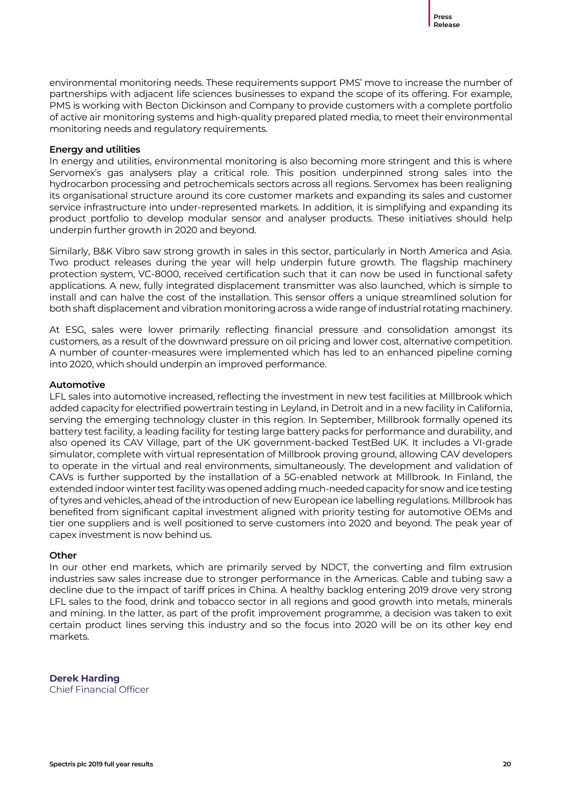environmental monitoring needs. These requirements support PMS' move to increase the number of partnerships with adjacent life sciences businesses to expand the scope of its offering. For example, PMS is working with Becton Dickinson and Company to provide customers with a complete portfolio of active air monitoring systems and high-quality prepared plated media, to meet their environmental monitoring needs and regulatory requirements.

### **Energy and utilities**

In energy and utilities, environmental monitoring is also becoming more stringent and this is where Servomex's gas analysers play a critical role. This position underpinned strong sales into the hydrocarbon processing and petrochemicals sectors across all regions. Servomex has been realigning its organisational structure around its core customer markets and expanding its sales and customer service infrastructure into under-represented markets. In addition, it is simplifying and expanding its product portfolio to develop modular sensor and analyser products. These initiatives should help underpin further growth in 2020 and beyond.

Similarly, B&K Vibro saw strong growth in sales in this sector, particularly in North America and Asia. Two product releases during the year will help underpin future growth. The flagship machinery protection system, VC-8000, received certification such that it can now be used in functional safety applications. A new, fully integrated displacement transmitter was also launched, which is simple to install and can halve the cost of the installation. This sensor offers a unique streamlined solution for both shaft displacement and vibration monitoring across a wide range of industrial rotating machinery.

At ESG, sales were lower primarily reflecting financial pressure and consolidation amongst its customers, as a result of the downward pressure on oil pricing and lower cost, alternative competition. A number of counter-measures were implemented which has led to an enhanced pipeline coming into 2020, which should underpin an improved performance.

### **Automotive**

LFL sales into automotive increased, reflecting the investment in new test facilities at Millbrook which added capacity for electrified powertrain testing in Leyland, in Detroit and in a new facility in California, serving the emerging technology cluster in this region. In September, Millbrook formally opened its battery test facility, a leading facility for testing large battery packs for performance and durability, and also opened its CAV Village, part of the UK government-backed TestBed UK. It includes a VI-grade simulator, complete with virtual representation of Millbrook proving ground, allowing CAV developers to operate in the virtual and real environments, simultaneously. The development and validation of CAVs is further supported by the installation of a 5G-enabled network at Millbrook. In Finland, the extended indoor winter test facility was opened adding much-needed capacity for snow and ice testing of tyres and vehicles, ahead of the introduction of new European ice labelling regulations. Millbrook has benefited from significant capital investment aligned with priority testing for automotive OEMs and tier one suppliers and is well positioned to serve customers into 2020 and beyond. The peak year of capex investment is now behind us.

### **Other**

In our other end markets, which are primarily served by NDCT, the converting and film extrusion industries saw sales increase due to stronger performance in the Americas. Cable and tubing saw a decline due to the impact of tariff prices in China. A healthy backlog entering 2019 drove very strong LFL sales to the food, drink and tobacco sector in all regions and good growth into metals, minerals and mining. In the latter, as part of the profit improvement programme, a decision was taken to exit certain product lines serving this industry and so the focus into 2020 will be on its other key end markets.

**Derek Harding** Chief Financial Officer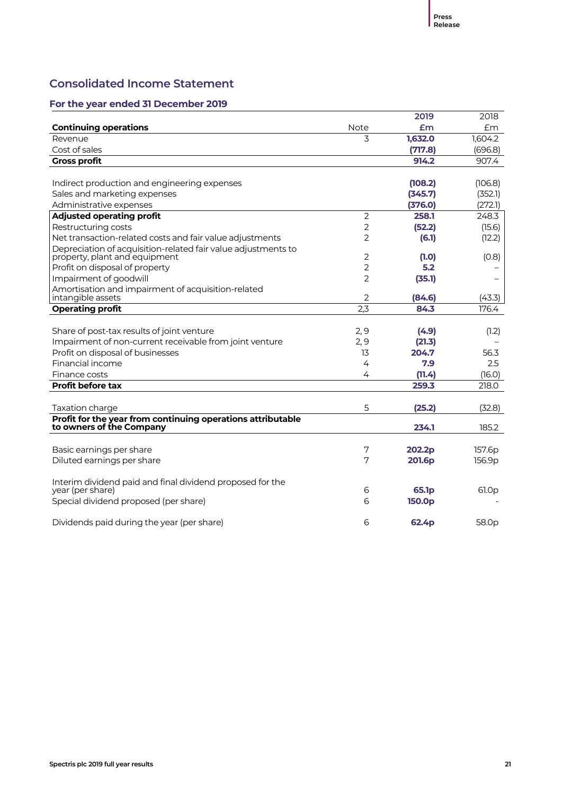### **Consolidated Income Statement**

|                                                               |                | 2019               | 2018              |
|---------------------------------------------------------------|----------------|--------------------|-------------------|
| <b>Continuing operations</b>                                  | Note           | Em                 | Em                |
| Revenue                                                       | 3              | 1,632.0            | 1,604.2           |
| Cost of sales                                                 |                | (717.8)            | (696.8)           |
| <b>Gross profit</b>                                           |                | 914.2              | 907.4             |
|                                                               |                |                    |                   |
| Indirect production and engineering expenses                  |                | (108.2)            | (106.8)           |
| Sales and marketing expenses                                  |                | (345.7)            | (352.1)           |
| Administrative expenses                                       |                | (376.0)            | (272.1)           |
| <b>Adjusted operating profit</b>                              | $\overline{2}$ | 258.1              | 248.3             |
| Restructuring costs                                           | 2              | (52.2)             | (15.6)            |
| Net transaction-related costs and fair value adjustments      | 2              | (6.1)              | (12.2)            |
| Depreciation of acquisition-related fair value adjustments to |                |                    |                   |
| property, plant and equipment                                 | $\overline{2}$ | (1.0)              | (0.8)             |
| Profit on disposal of property                                | $\overline{2}$ | 5.2                |                   |
| Impairment of goodwill                                        | 2              | (35.1)             |                   |
| Amortisation and impairment of acquisition-related            |                |                    |                   |
| intangible assets                                             | 2<br>2,3       | (84.6)<br>84.3     | (43.3)            |
| <b>Operating profit</b>                                       |                |                    | 176.4             |
| Share of post-tax results of joint venture                    | 2,9            | (4.9)              | (1.2)             |
| Impairment of non-current receivable from joint venture       | 2,9            | (21.3)             |                   |
| Profit on disposal of businesses                              | 13             | 204.7              | 56.3              |
| Financial income                                              | 4              | 7.9                | 2.5               |
| Finance costs                                                 | 4              | (11.4)             | (16.0)            |
| <b>Profit before tax</b>                                      |                | 259.3              | 218.0             |
|                                                               |                |                    |                   |
| Taxation charge                                               | 5              | (25.2)             | (32.8)            |
| Profit for the year from continuing operations attributable   |                |                    |                   |
| to owners of the Company                                      |                | 234.1              | 185.2             |
|                                                               |                |                    |                   |
| Basic earnings per share                                      | 7              | 202.2p             | 157.6p            |
| Diluted earnings per share                                    | 7              | 201.6p             | 156.9p            |
| Interim dividend paid and final dividend proposed for the     |                |                    |                   |
| year (per share)                                              | 6              | 65.1p              | 61.0p             |
| Special dividend proposed (per share)                         | 6              | 150.0 <sub>p</sub> |                   |
| Dividends paid during the year (per share)                    | 6              | 62.4 <sub>p</sub>  | 58.0 <sub>p</sub> |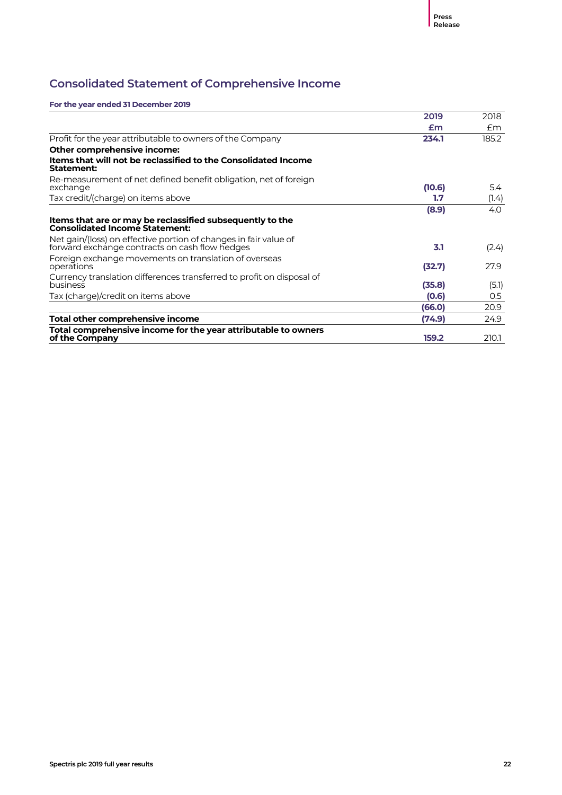### **Consolidated Statement of Comprehensive Income**

|                                                                                                                    | 2019   | 2018  |
|--------------------------------------------------------------------------------------------------------------------|--------|-------|
|                                                                                                                    | £m     | £m    |
| Profit for the year attributable to owners of the Company                                                          | 234.1  | 185.2 |
| Other comprehensive income:                                                                                        |        |       |
| Items that will not be reclassified to the Consolidated Income<br>Statement:                                       |        |       |
| Re-measurement of net defined benefit obligation, net of foreign                                                   |        |       |
| exchange                                                                                                           | (10.6) | 5.4   |
| Tax credit/(charge) on items above                                                                                 | 1.7    | (1.4) |
|                                                                                                                    | (8.9)  | 4.0   |
| Items that are or may be reclassified subsequently to the<br><b>Consolidated Income Statement:</b>                 |        |       |
| Net gain/(loss) on effective portion of changes in fair value of<br>forward exchange contracts on cash flow hedges | 3.1    | (2.4) |
| Foreign exchange movements on translation of overseas<br>operations                                                | (32.7) | 27.9  |
| Currency translation differences transferred to profit on disposal of                                              |        |       |
| business                                                                                                           | (35.8) | (5.1) |
| Tax (charge)/credit on items above                                                                                 | (0.6)  | 0.5   |
|                                                                                                                    | (66.0) | 20.9  |
| Total other comprehensive income                                                                                   | (74.9) | 24.9  |
| Total comprehensive income for the year attributable to owners                                                     |        |       |
| of the Company                                                                                                     | 159.2  | 210.1 |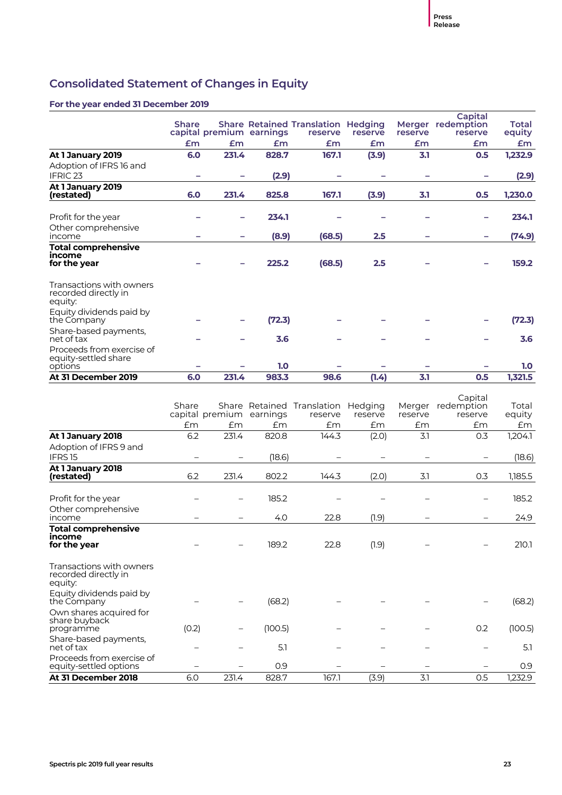### **Consolidated Statement of Changes in Equity**

|                                                              | <b>Share</b> |       |                          | <b>Share Retained Translation Hedging</b> |                    |                   | Capital<br>Merger redemption     | Total           |
|--------------------------------------------------------------|--------------|-------|--------------------------|-------------------------------------------|--------------------|-------------------|----------------------------------|-----------------|
|                                                              |              |       | capital premium earnings | reserve                                   | reserve            | reserve           | reserve                          | equity          |
|                                                              | £m           | Em    | Em                       | Em                                        | £m                 | £m                | £m                               | £m              |
| At 1 January 2019                                            | 6.0          | 231.4 | 828.7                    | 167.1                                     | (3.9)              | 3.1               | 0.5                              | 1,232.9         |
| Adoption of IFRS 16 and<br>IFRIC <sub>23</sub>               | -            |       | (2.9)                    |                                           |                    | -                 |                                  | (2.9)           |
| At 1 January 2019<br>(restated)                              | 6.0          | 231.4 | 825.8                    | 167.1                                     | (3.9)              | 3.1               | 0.5                              | 1,230.0         |
| Profit for the year                                          |              |       | 234.1                    |                                           |                    |                   |                                  | 234.1           |
| Other comprehensive<br>income                                |              |       | (8.9)                    | (68.5)                                    | 2.5                |                   |                                  | (74.9)          |
| <b>Total comprehensive</b><br>income<br>for the year         |              |       | 225.2                    | (68.5)                                    | 2.5                |                   |                                  | 159.2           |
| Transactions with owners<br>recorded directly in<br>equity:  |              |       |                          |                                           |                    |                   |                                  |                 |
| Equity dividends paid by<br>the Company                      |              |       | (72.3)                   |                                           |                    |                   |                                  | (72.3)          |
| Share-based payments,<br>net of tax                          |              |       | 3.6                      |                                           |                    |                   |                                  | 3.6             |
| Proceeds from exercise of<br>equity-settled share<br>options |              |       | 1.0                      |                                           |                    |                   |                                  | 1.0             |
| At 31 December 2019                                          | 6.0          | 231.4 | 983.3                    | 98.6                                      | (1.4)              | 3.1               | 0.5                              | 1,321.5         |
|                                                              | Share        |       | capital premium earnings | Share Retained Translation<br>reserve     | Hedging<br>reserve | Merger<br>reserve | Capital<br>redemption<br>reserve | Total<br>equity |

|                                                             | Stidle | capital premium | earnings | Share Retained Translation Hedging<br>reserve | reserve | merger<br>reserve | <b>Teaernpuon</b><br>reserve | TOLAI<br>equity |
|-------------------------------------------------------------|--------|-----------------|----------|-----------------------------------------------|---------|-------------------|------------------------------|-----------------|
|                                                             | £m     | £m              | £m       | £m                                            | £m      | Em                | £m                           | £m              |
| At 1 January 2018                                           | 6.2    | 231.4           | 820.8    | 144.3                                         | (2.0)   | 3.1               | 0.3                          | 1,204.1         |
| Adoption of IFRS 9 and                                      |        |                 |          |                                               |         |                   |                              |                 |
| IFRS <sub>15</sub>                                          |        |                 | (18.6)   |                                               |         |                   |                              | (18.6)          |
| At 1 January 2018<br>(restated)                             | 6.2    | 231.4           | 802.2    | 144.3                                         | (2.0)   | 3.1               | 0.3                          | 1,185.5         |
| Profit for the year                                         |        |                 | 185.2    |                                               |         |                   |                              | 185.2           |
| Other comprehensive<br>income                               |        |                 | 4.0      | 22.8                                          | (1.9)   |                   |                              | 24.9            |
| <b>Total comprehensive</b><br>income<br>for the year        |        |                 | 189.2    | 22.8                                          | (1.9)   |                   |                              | 210.1           |
| Transactions with owners<br>recorded directly in<br>equity: |        |                 |          |                                               |         |                   |                              |                 |
| Equity dividends paid by<br>the Company                     |        |                 | (68.2)   |                                               |         |                   |                              | (68.2)          |
| Own shares acquired for<br>share buyback<br>programme       | (0.2)  |                 | (100.5)  |                                               |         |                   | 0.2                          | (100.5)         |
| Share-based payments,<br>net of tax                         |        |                 | 5.1      |                                               |         |                   |                              | 5.1             |
| Proceeds from exercise of<br>equity-settled options         |        |                 | 0.9      |                                               |         |                   |                              | 0.9             |
| At 31 December 2018                                         | 6.0    | 231.4           | 828.7    | 167.1                                         | (3.9)   | 3.1               | 0.5                          | 1,232.9         |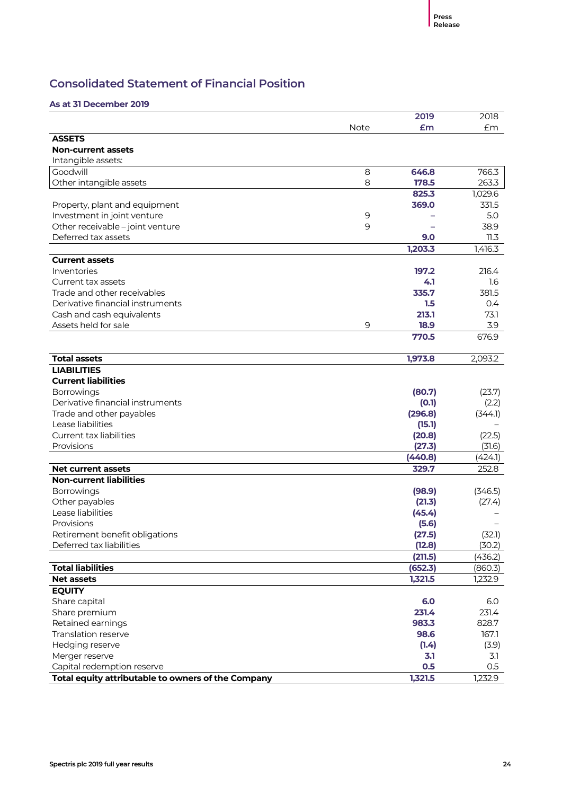### **Consolidated Statement of Financial Position**

### **As at 31 December 2019**

|                                                    |             | 2019    | 2018    |
|----------------------------------------------------|-------------|---------|---------|
|                                                    | <b>Note</b> | £m      | £m      |
| <b>ASSETS</b>                                      |             |         |         |
| <b>Non-current assets</b>                          |             |         |         |
| Intangible assets:                                 |             |         |         |
| Goodwill                                           | 8           | 646.8   | 766.3   |
| Other intangible assets                            | 8           | 178.5   | 263.3   |
|                                                    |             | 825.3   | 1,029.6 |
| Property, plant and equipment                      |             | 369.0   | 331.5   |
| Investment in joint venture                        | 9           |         | 5.0     |
| Other receivable - joint venture                   | 9           |         | 38.9    |
| Deferred tax assets                                |             | 9.0     | 11.3    |
|                                                    |             | 1,203.3 | 1,416.3 |
| <b>Current assets</b>                              |             |         |         |
| Inventories                                        |             | 197.2   | 216.4   |
| Current tax assets                                 |             | 4.1     | 1.6     |
| Trade and other receivables                        |             | 335.7   | 381.5   |
| Derivative financial instruments                   |             | 1.5     | 0.4     |
| Cash and cash equivalents                          |             | 213.1   | 73.1    |
| Assets held for sale                               | 9           | 18.9    | 3.9     |
|                                                    |             | 770.5   | 676.9   |
|                                                    |             |         |         |
| <b>Total assets</b>                                |             | 1,973.8 | 2,093.2 |
| <b>LIABILITIES</b>                                 |             |         |         |
| <b>Current liabilities</b>                         |             |         |         |
| Borrowings                                         |             | (80.7)  | (23.7)  |
| Derivative financial instruments                   |             | (0.1)   | (2.2)   |
| Trade and other payables                           |             | (296.8) | (344.1) |
| Lease liabilities                                  |             | (15.1)  |         |
| <b>Current tax liabilities</b>                     |             | (20.8)  | (22.5)  |
| Provisions                                         |             | (27.3)  | (31.6)  |
|                                                    |             | (440.8) | (424.1) |
| <b>Net current assets</b>                          |             | 329.7   | 252.8   |
| <b>Non-current liabilities</b>                     |             |         |         |
| Borrowings                                         |             | (98.9)  | (346.5) |
| Other payables                                     |             | (21.3)  | (27.4)  |
| Lease liabilities                                  |             | (45.4)  |         |
| Provisions                                         |             | (5.6)   |         |
| Retirement benefit obligations                     |             | (27.5)  | (32.1)  |
| Deferred tax liabilities                           |             | (12.8)  | (30.2)  |
|                                                    |             | (211.5) | (436.2) |
| <b>Total liabilities</b>                           |             | (652.3) | (860.3) |
| <b>Net assets</b>                                  |             | 1,321.5 | 1,232.9 |
| <b>EQUITY</b>                                      |             |         |         |
| Share capital                                      |             | 6.0     | 6.0     |
| Share premium                                      |             | 231.4   | 231.4   |
| Retained earnings                                  |             | 983.3   | 828.7   |
| Translation reserve                                |             | 98.6    | 167.1   |
| Hedging reserve                                    |             | (1.4)   | (3.9)   |
| Merger reserve                                     |             | 3.1     | 3.1     |
| Capital redemption reserve                         |             | 0.5     | 0.5     |
| Total equity attributable to owners of the Company |             | 1,321.5 | 1,232.9 |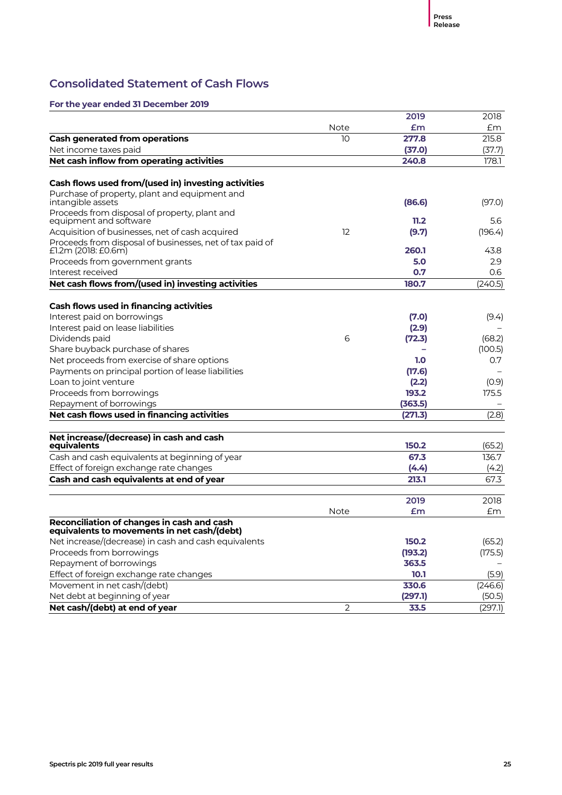### **Consolidated Statement of Cash Flows**

|                                                                                           |                | 2019    | 2018    |
|-------------------------------------------------------------------------------------------|----------------|---------|---------|
|                                                                                           | <b>Note</b>    | Em      | £m      |
| <b>Cash generated from operations</b>                                                     | 10             | 277.8   | 215.8   |
| Net income taxes paid                                                                     |                | (37.0)  | (37.7)  |
| Net cash inflow from operating activities                                                 |                | 240.8   | 178.1   |
|                                                                                           |                |         |         |
| Cash flows used from/(used in) investing activities                                       |                |         |         |
| Purchase of property, plant and equipment and<br>intangible assets                        |                | (86.6)  | (97.0)  |
| Proceeds from disposal of property, plant and<br>equipment and software                   |                | 11.2    | 5.6     |
| Acquisition of businesses, net of cash acquired                                           | 12             | (9.7)   | (196.4) |
| Proceeds from disposal of businesses, net of tax paid of<br>£1.2m (2018: £0.6m)           |                | 260.1   | 43.8    |
| Proceeds from government grants                                                           |                | 5.0     | 2.9     |
| Interest received                                                                         |                | 0.7     | 0.6     |
| Net cash flows from/(used in) investing activities                                        |                | 180.7   | (240.5) |
|                                                                                           |                |         |         |
| Cash flows used in financing activities                                                   |                |         |         |
| Interest paid on borrowings                                                               |                | (7.0)   | (9.4)   |
| Interest paid on lease liabilities                                                        |                | (2.9)   |         |
| Dividends paid                                                                            | 6              | (72.3)  | (68.2)  |
| Share buyback purchase of shares                                                          |                |         | (100.5) |
| Net proceeds from exercise of share options                                               |                | 1.0     | 0.7     |
| Payments on principal portion of lease liabilities                                        |                | (17.6)  |         |
| Loan to joint venture                                                                     |                | (2.2)   | (0.9)   |
| Proceeds from borrowings                                                                  |                | 193.2   | 175.5   |
| Repayment of borrowings                                                                   |                | (363.5) |         |
| Net cash flows used in financing activities                                               |                | (271.3) | (2.8)   |
|                                                                                           |                |         |         |
| Net increase/(decrease) in cash and cash<br>equivalents                                   |                | 150.2   | (65.2)  |
| Cash and cash equivalents at beginning of year                                            |                | 67.3    | 136.7   |
| Effect of foreign exchange rate changes                                                   |                | (4.4)   | (4.2)   |
| Cash and cash equivalents at end of year                                                  |                | 213.1   | 67.3    |
|                                                                                           |                |         |         |
|                                                                                           |                | 2019    | 2018    |
|                                                                                           | <b>Note</b>    | £m      | £m      |
| Reconciliation of changes in cash and cash<br>equivalents to movements in net cash/(debt) |                |         |         |
| Net increase/(decrease) in cash and cash equivalents                                      |                | 150.2   | (65.2)  |
| Proceeds from borrowings                                                                  |                | (193.2) | (175.5) |
| Repayment of borrowings                                                                   |                | 363.5   |         |
| Effect of foreign exchange rate changes                                                   |                | 10.1    | (5.9)   |
| Movement in net cash/(debt)                                                               |                | 330.6   | (246.6) |
| Net debt at beginning of year                                                             |                | (297.1) | (50.5)  |
| Net cash/(debt) at end of year                                                            | $\overline{2}$ | 33.5    | (297.1) |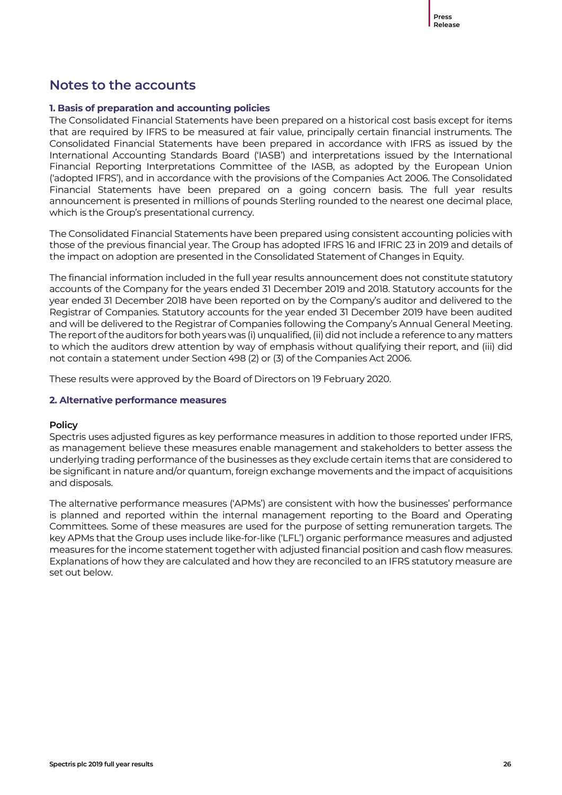### **Notes to the accounts**

### **1. Basis of preparation and accounting policies**

The Consolidated Financial Statements have been prepared on a historical cost basis except for items that are required by IFRS to be measured at fair value, principally certain financial instruments. The Consolidated Financial Statements have been prepared in accordance with IFRS as issued by the International Accounting Standards Board ('IASB') and interpretations issued by the International Financial Reporting Interpretations Committee of the IASB, as adopted by the European Union ('adopted IFRS'), and in accordance with the provisions of the Companies Act 2006. The Consolidated Financial Statements have been prepared on a going concern basis. The full year results announcement is presented in millions of pounds Sterling rounded to the nearest one decimal place, which is the Group's presentational currency.

The Consolidated Financial Statements have been prepared using consistent accounting policies with those of the previous financial year. The Group has adopted IFRS 16 and IFRIC 23 in 2019 and details of the impact on adoption are presented in the Consolidated Statement of Changes in Equity.

The financial information included in the full year results announcement does not constitute statutory accounts of the Company for the years ended 31 December 2019 and 2018. Statutory accounts for the year ended 31 December 2018 have been reported on by the Company's auditor and delivered to the Registrar of Companies. Statutory accounts for the year ended 31 December 2019 have been audited and will be delivered to the Registrar of Companies following the Company's Annual General Meeting. The report of the auditors for both years was (i) unqualified, (ii) did not include a reference to any matters to which the auditors drew attention by way of emphasis without qualifying their report, and (iii) did not contain a statement under Section 498 (2) or (3) of the Companies Act 2006.

These results were approved by the Board of Directors on 19 February 2020.

### **2. Alternative performance measures**

### **Policy**

Spectris uses adjusted figures as key performance measures in addition to those reported under IFRS, as management believe these measures enable management and stakeholders to better assess the underlying trading performance of the businesses as they exclude certain items that are considered to be significant in nature and/or quantum, foreign exchange movements and the impact of acquisitions and disposals.

The alternative performance measures ('APMs') are consistent with how the businesses' performance is planned and reported within the internal management reporting to the Board and Operating Committees. Some of these measures are used for the purpose of setting remuneration targets. The key APMs that the Group uses include like-for-like ('LFL') organic performance measures and adjusted measures for the income statement together with adjusted financial position and cash flow measures. Explanations of how they are calculated and how they are reconciled to an IFRS statutory measure are set out below.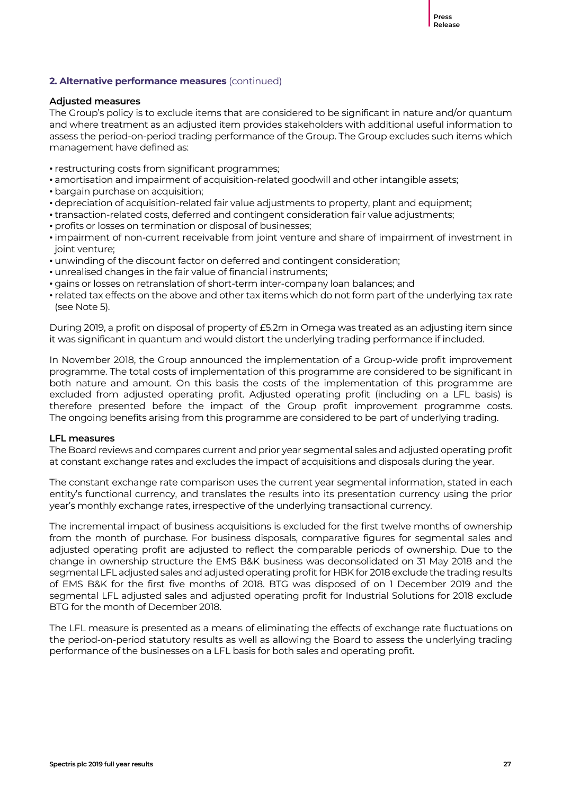#### **Adjusted measures**

The Group's policy is to exclude items that are considered to be significant in nature and/or quantum and where treatment as an adjusted item provides stakeholders with additional useful information to assess the period-on-period trading performance of the Group. The Group excludes such items which management have defined as:

- restructuring costs from significant programmes;
- amortisation and impairment of acquisition-related goodwill and other intangible assets;
- bargain purchase on acquisition;
- depreciation of acquisition-related fair value adjustments to property, plant and equipment;
- transaction-related costs, deferred and contingent consideration fair value adjustments;
- profits or losses on termination or disposal of businesses;
- impairment of non-current receivable from joint venture and share of impairment of investment in joint venture;
- unwinding of the discount factor on deferred and contingent consideration;
- unrealised changes in the fair value of financial instruments;
- gains or losses on retranslation of short-term inter-company loan balances; and
- related tax effects on the above and other tax items which do not form part of the underlying tax rate (see Note 5).

During 2019, a profit on disposal of property of £5.2m in Omega was treated as an adjusting item since it was significant in quantum and would distort the underlying trading performance if included.

In November 2018, the Group announced the implementation of a Group-wide profit improvement programme. The total costs of implementation of this programme are considered to be significant in both nature and amount. On this basis the costs of the implementation of this programme are excluded from adjusted operating profit. Adjusted operating profit (including on a LFL basis) is therefore presented before the impact of the Group profit improvement programme costs. The ongoing benefits arising from this programme are considered to be part of underlying trading.

### **LFL measures**

The Board reviews and compares current and prior year segmental sales and adjusted operating profit at constant exchange rates and excludes the impact of acquisitions and disposals during the year.

The constant exchange rate comparison uses the current year segmental information, stated in each entity's functional currency, and translates the results into its presentation currency using the prior year's monthly exchange rates, irrespective of the underlying transactional currency.

The incremental impact of business acquisitions is excluded for the first twelve months of ownership from the month of purchase. For business disposals, comparative figures for segmental sales and adjusted operating profit are adjusted to reflect the comparable periods of ownership. Due to the change in ownership structure the EMS B&K business was deconsolidated on 31 May 2018 and the segmental LFL adjusted sales and adjusted operating profit for HBK for 2018 exclude the trading results of EMS B&K for the first five months of 2018. BTG was disposed of on 1 December 2019 and the segmental LFL adjusted sales and adjusted operating profit for Industrial Solutions for 2018 exclude BTG for the month of December 2018.

The LFL measure is presented as a means of eliminating the effects of exchange rate fluctuations on the period-on-period statutory results as well as allowing the Board to assess the underlying trading performance of the businesses on a LFL basis for both sales and operating profit.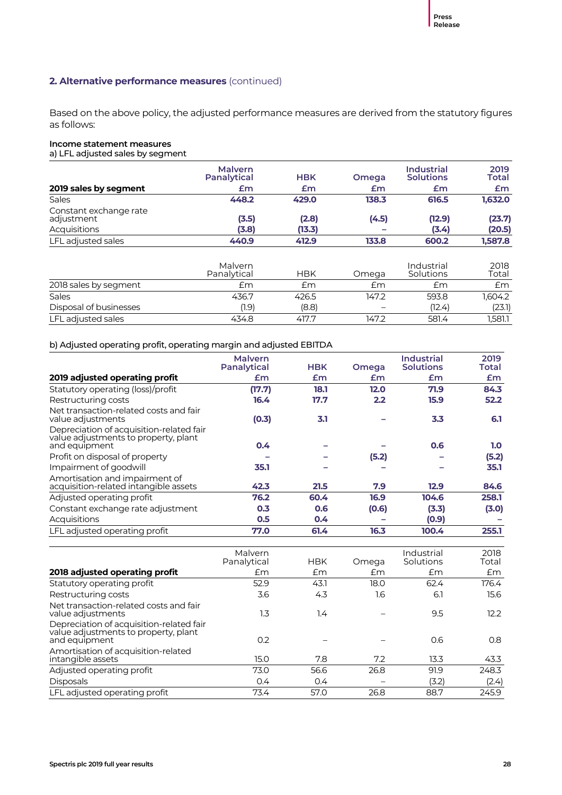Based on the above policy, the adjusted performance measures are derived from the statutory figures as follows:

#### **Income statement measures**

a) LFL adjusted sales by segment

|                                      | <b>Malvern</b><br>Panalytical | <b>HBK</b> | <b>Omega</b> | <b>Industrial</b><br><b>Solutions</b> | 2019<br>Total |
|--------------------------------------|-------------------------------|------------|--------------|---------------------------------------|---------------|
| 2019 sales by segment                | £m                            | £m         | £m           | £m                                    | £m            |
| <b>Sales</b>                         | 448.2                         | 429.0      | 138.3        | 616.5                                 | 1.632.0       |
| Constant exchange rate<br>adjustment | (3.5)                         | (2.8)      | (4.5)        | (12.9)                                | (23.7)        |
| Acquisitions                         | (3.8)                         | (13.3)     |              | (3.4)                                 | (20.5)        |
| LFL adjusted sales                   | 440.9                         | 412.9      | 133.8        | 600.2                                 | 1.587.8       |

|                        | Malvern<br>Panalytical | HBK   | Omega | Industrial<br>Solutions | 2018<br>Total |
|------------------------|------------------------|-------|-------|-------------------------|---------------|
| 2018 sales by segment  | £m                     | £m    | £m    | £m                      | £m            |
| Sales                  | 436.7                  | 426.5 | 147.2 | 593.8                   | 1.604.2       |
| Disposal of businesses | (1.9)                  | (8.8) |       | (12.4)                  | (23.1)        |
| LFL adjusted sales     | 434.8                  | 417.7 | 147.2 | 581.4                   | 1.581.1       |

#### b) Adjusted operating profit, operating margin and adjusted EBITDA

|                                                                                                   | <b>Malvern</b><br>Panalytical | <b>HBK</b> | <b>Omega</b> | <b>Industrial</b><br><b>Solutions</b> | 2019<br>Total |
|---------------------------------------------------------------------------------------------------|-------------------------------|------------|--------------|---------------------------------------|---------------|
| 2019 adjusted operating profit                                                                    | £m                            | £m         | £m           | £m                                    | £m            |
| Statutory operating (loss)/profit                                                                 | (17.7)                        | 18.1       | 12.0         | 71.9                                  | 84.3          |
| Restructuring costs                                                                               | 16.4                          | 17.7       | 2.2          | 15.9                                  | 52.2          |
| Net transaction-related costs and fair<br>value adjustments                                       | (0.3)                         | 3.1        |              | 3.3                                   | 6.1           |
| Depreciation of acquisition-related fair<br>value adjustments to property, plant<br>and equipment | 0.4                           |            |              | 0.6                                   | 1.0           |
| Profit on disposal of property                                                                    |                               |            | (5.2)        | -                                     | (5.2)         |
| Impairment of goodwill                                                                            | 35.1                          |            |              |                                       | 35.1          |
| Amortisation and impairment of<br>acquisition-related intangible assets                           | 42.3                          | 21.5       | 7.9          | 12.9                                  | 84.6          |
| Adjusted operating profit                                                                         | 76.2                          | 60.4       | 16.9         | 104.6                                 | 258.1         |
| Constant exchange rate adjustment                                                                 | 0.3                           | 0.6        | (0.6)        | (3.3)                                 | (3.0)         |
| Acquisitions                                                                                      | 0.5                           | 0.4        |              | (0.9)                                 |               |
| LFL adjusted operating profit                                                                     | 77.0                          | 61.4       | 16.3         | 100.4                                 | 255.1         |

|                                                                                                   | Malvern<br>Panalytical | <b>HBK</b> | Omega | Industrial<br>Solutions | 2018<br>Total |
|---------------------------------------------------------------------------------------------------|------------------------|------------|-------|-------------------------|---------------|
| 2018 adjusted operating profit                                                                    | Em                     | £m         | £m    | £m                      | £m            |
| Statutory operating profit                                                                        | 52.9                   | 43.1       | 18.0  | 62.4                    | 176.4         |
| Restructuring costs                                                                               | 3.6                    | 4.3        | 1.6   | 6.1                     | 15.6          |
| Net transaction-related costs and fair<br>value adjustments                                       | 1.3                    | 1.4        |       | 9.5                     | 12.2          |
| Depreciation of acquisition-related fair<br>value adjustments to property, plant<br>and equipment | 0.2                    |            |       | 0.6                     | 0.8           |
| Amortisation of acquisition-related<br>intangible assets                                          | 15.0                   | 7.8        | 7.2   | 13.3                    | 43.3          |
| Adjusted operating profit                                                                         | 73.0                   | 56.6       | 26.8  | 91.9                    | 248.3         |
| <b>Disposals</b>                                                                                  | 0.4                    | 0.4        |       | (3.2)                   | (2.4)         |
| LFL adjusted operating profit                                                                     | 73.4                   | 57.0       | 26.8  | 88.7                    | 245.9         |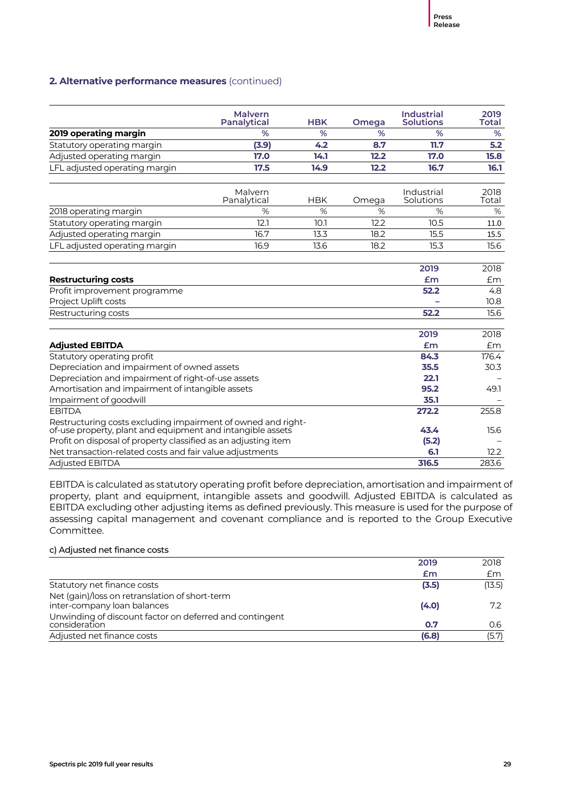|                                                                                                                            | <b>Malvern</b><br><b>Panalytical</b> | <b>HBK</b> | Omega | <b>Industrial</b><br><b>Solutions</b> | 2019<br><b>Total</b> |
|----------------------------------------------------------------------------------------------------------------------------|--------------------------------------|------------|-------|---------------------------------------|----------------------|
| 2019 operating margin                                                                                                      | %                                    | %          | %     | %                                     | %                    |
| Statutory operating margin                                                                                                 | (3.9)                                | 4.2        | 8.7   | 11.7                                  | 5.2                  |
| Adjusted operating margin                                                                                                  | 17.0                                 | 14.1       | 12.2  | 17.0                                  | 15.8                 |
| LFL adjusted operating margin                                                                                              | 17.5                                 | 14.9       | 12.2  | 16.7                                  | 16.1                 |
|                                                                                                                            | Malvern<br>Panalytical               | <b>HBK</b> | Omega | Industrial<br>Solutions               | 2018<br>Total        |
| 2018 operating margin                                                                                                      | %                                    | %          | %     | %                                     | %                    |
| Statutory operating margin                                                                                                 | 12.1                                 | 10.1       | 12.2  | 10.5                                  | 11.0                 |
| Adjusted operating margin                                                                                                  | 16.7                                 | 13.3       | 18.2  | 15.5                                  | 15.5                 |
| LFL adjusted operating margin                                                                                              | 16.9                                 | 13.6       | 18.2  | 15.3                                  | 15.6                 |
| <b>Restructuring costs</b>                                                                                                 |                                      |            |       | 2019<br>Em                            | 2018<br>£m           |
| Profit improvement programme                                                                                               |                                      |            |       | 52.2                                  | 4.8                  |
| Project Uplift costs                                                                                                       |                                      |            |       |                                       | 10.8                 |
| Restructuring costs                                                                                                        |                                      |            |       | 52.2                                  | 15.6                 |
|                                                                                                                            |                                      |            |       | 2019                                  | 2018                 |
| <b>Adjusted EBITDA</b>                                                                                                     |                                      |            |       | Em                                    | Em                   |
| Statutory operating profit                                                                                                 |                                      |            |       | 84.3                                  | 176.4                |
| Depreciation and impairment of owned assets                                                                                |                                      |            |       | 35.5                                  | 30.3                 |
| Depreciation and impairment of right-of-use assets                                                                         |                                      |            |       | 22.1                                  |                      |
| Amortisation and impairment of intangible assets                                                                           |                                      |            |       | 95.2                                  | 49.1                 |
| Impairment of goodwill                                                                                                     |                                      |            |       | 35.1                                  |                      |
| <b>EBITDA</b>                                                                                                              |                                      |            |       | 272.2                                 | 255.8                |
| Restructuring costs excluding impairment of owned and right-<br>of-use property, plant and equipment and intangible assets |                                      |            |       | 43.4                                  | 15.6                 |
| Profit on disposal of property classified as an adjusting item                                                             |                                      |            |       | (5.2)                                 |                      |
| Net transaction-related costs and fair value adjustments                                                                   |                                      |            |       | 6.1                                   | 12.2                 |
| <b>Adjusted EBITDA</b>                                                                                                     |                                      |            |       | 316.5                                 | 283.6                |

EBITDA is calculated as statutory operating profit before depreciation, amortisation and impairment of property, plant and equipment, intangible assets and goodwill. Adjusted EBITDA is calculated as EBITDA excluding other adjusting items as defined previously. This measure is used for the purpose of assessing capital management and covenant compliance and is reported to the Group Executive Committee.

### c) Adjusted net finance costs

|                                                         | 2019  | 2018   |
|---------------------------------------------------------|-------|--------|
|                                                         | £m    | £m     |
| Statutory net finance costs                             | (3.5) | (13.5) |
| Net (gain)/loss on retranslation of short-term          |       |        |
| inter-company loan balances                             | (4.0) | 72     |
| Unwinding of discount factor on deferred and contingent |       |        |
| consideration                                           | 0.7   | 0.6    |
| Adjusted net finance costs                              | (6.8) | (5.7)  |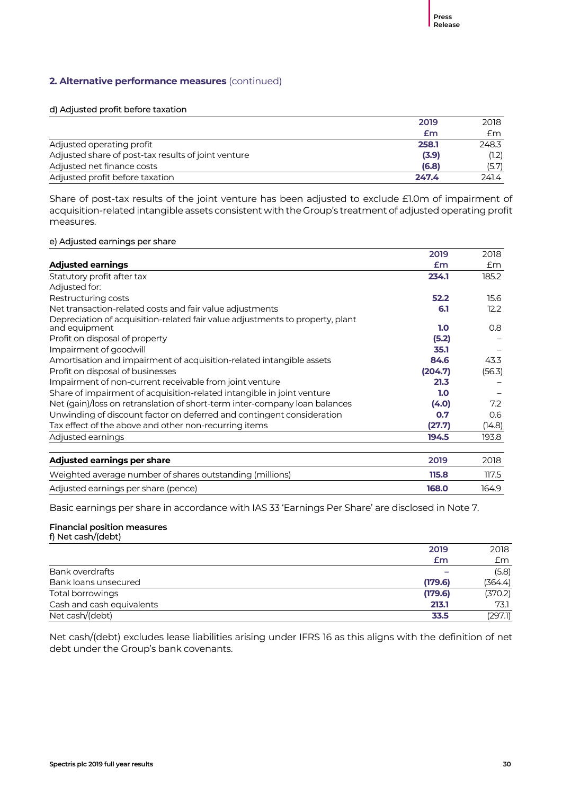#### d) Adjusted profit before taxation

|                                                     | 2019  | 2018  |
|-----------------------------------------------------|-------|-------|
|                                                     | £m    | £m    |
| Adjusted operating profit                           | 258.1 | 248.3 |
| Adjusted share of post-tax results of joint venture | (3.9) | (1.2) |
| Adjusted net finance costs                          | (6.8) | (5.7) |
| Adjusted profit before taxation                     | 247.4 | 241.4 |

Share of post-tax results of the joint venture has been adjusted to exclude £1.0m of impairment of acquisition-related intangible assets consistent with the Group's treatment of adjusted operating profit measures.

#### e) Adjusted earnings per share

|                                                                                                | 2019    | 2018   |
|------------------------------------------------------------------------------------------------|---------|--------|
| <b>Adjusted earnings</b>                                                                       | £m      | £m     |
| Statutory profit after tax                                                                     | 234.1   | 185.2  |
| Adjusted for:                                                                                  |         |        |
| Restructuring costs                                                                            | 52.2    | 15.6   |
| Net transaction-related costs and fair value adjustments                                       | 6.1     | 12.2   |
| Depreciation of acquisition-related fair value adjustments to property, plant<br>and equipment | 1.0     | 0.8    |
| Profit on disposal of property                                                                 | (5.2)   |        |
| Impairment of goodwill                                                                         | 35.1    |        |
| Amortisation and impairment of acquisition-related intangible assets                           | 84.6    | 43.3   |
| Profit on disposal of businesses                                                               | (204.7) | (56.3) |
| Impairment of non-current receivable from joint venture                                        | 21.3    |        |
| Share of impairment of acquisition-related intangible in joint venture                         | 1.0     |        |
| Net (gain)/loss on retranslation of short-term inter-company loan balances                     | (4.0)   | 7.2    |
| Unwinding of discount factor on deferred and contingent consideration                          | 0.7     | 0.6    |
| Tax effect of the above and other non-recurring items                                          | (27.7)  | (14.8) |
| Adjusted earnings                                                                              | 194.5   | 193.8  |
| Adjusted earnings per share                                                                    | 2019    | 2018   |
| Weighted average number of shares outstanding (millions)                                       | 115.8   | 117.5  |
| Adjusted earnings per share (pence)                                                            | 168.0   | 164.9  |

Basic earnings per share in accordance with IAS 33 'Earnings Per Share' are disclosed in Note 7.

#### **Financial position measures** f) Net cash/(debt)

|                           | 2019    | 2018    |
|---------------------------|---------|---------|
|                           | £m      | £m      |
| Bank overdrafts           |         | (5.8)   |
| Bank loans unsecured      | (179.6) | (364.4) |
| Total borrowings          | (179.6) | (370.2) |
| Cash and cash equivalents | 213.1   | 73.1    |
| Net cash/(debt)           | 33.5    | (297.1) |

Net cash/(debt) excludes lease liabilities arising under IFRS 16 as this aligns with the definition of net debt under the Group's bank covenants.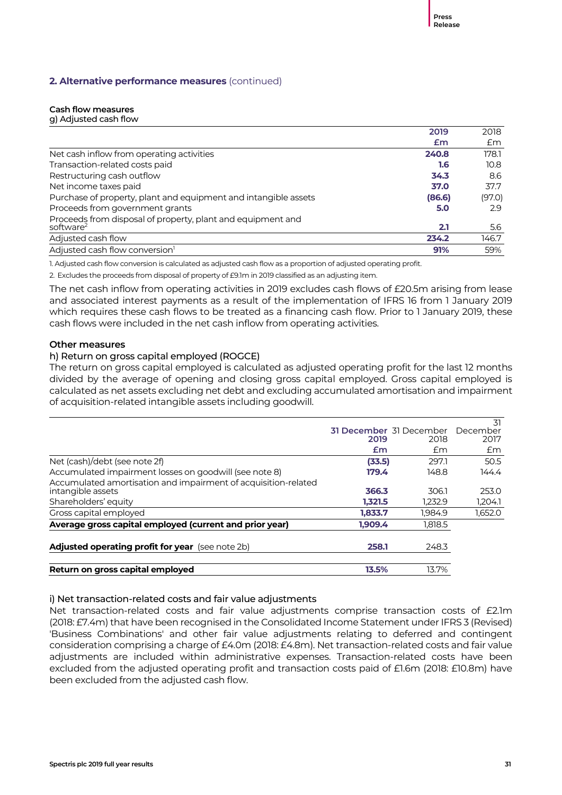### **Cash flow measures**

| g) Adjusted cash flow |  |
|-----------------------|--|
|-----------------------|--|

| 2019                                                                                        | 2018              |
|---------------------------------------------------------------------------------------------|-------------------|
| Em                                                                                          | £m                |
| Net cash inflow from operating activities<br>240.8                                          | 178.1             |
| Transaction-related costs paid<br>1.6                                                       | 10.8 <sup>2</sup> |
| Restructuring cash outflow<br>34.3                                                          | 8.6               |
| Net income taxes paid<br>37.0                                                               | 37.7              |
| Purchase of property, plant and equipment and intangible assets<br>(86.6)                   | (97.0)            |
| Proceeds from government grants<br>5.0                                                      | 2.9               |
| Proceeds from disposal of property, plant and equipment and<br>software <sup>2</sup><br>2.1 | 5.6               |
| Adjusted cash flow<br>234.2                                                                 | 146.7             |
| Adjusted cash flow conversion <sup>1</sup><br>91%                                           | 59%               |

1. Adjusted cash flow conversion is calculated as adjusted cash flow as a proportion of adjusted operating profit.

2. Excludes the proceeds from disposal of property of £9.1m in 2019 classified as an adjusting item.

The net cash inflow from operating activities in 2019 excludes cash flows of £20.5m arising from lease and associated interest payments as a result of the implementation of IFRS 16 from 1 January 2019 which requires these cash flows to be treated as a financing cash flow. Prior to 1 January 2019, these cash flows were included in the net cash inflow from operating activities.

### **Other measures**

### h) Return on gross capital employed (ROGCE)

The return on gross capital employed is calculated as adjusted operating profit for the last 12 months divided by the average of opening and closing gross capital employed. Gross capital employed is calculated as net assets excluding net debt and excluding accumulated amortisation and impairment of acquisition-related intangible assets including goodwill.

|                                                                |         |                         | 31       |
|----------------------------------------------------------------|---------|-------------------------|----------|
|                                                                |         | 31 December 31 December | December |
|                                                                | 2019    | 2018                    | 2017     |
|                                                                | £m      | Em                      | £m       |
| Net (cash)/debt (see note 2f)                                  | (33.5)  | 297.1                   | 50.5     |
| Accumulated impairment losses on goodwill (see note 8)         | 179.4   | 148.8                   | 144.4    |
| Accumulated amortisation and impairment of acquisition-related |         |                         |          |
| intangible assets                                              | 366.3   | 306.1                   | 253.0    |
| Shareholders' equity                                           | 1.321.5 | 1.232.9                 | 1,204.1  |
| Gross capital employed                                         | 1,833.7 | 1.984.9                 | 1,652.0  |
| Average gross capital employed (current and prior year)        | 1.909.4 | 1,818.5                 |          |
| Adjusted operating profit for year (see note 2b)               | 258.1   | 248.3                   |          |
|                                                                |         |                         |          |
| Return on gross capital employed                               | 13.5%   | 13.7%                   |          |

### i) Net transaction-related costs and fair value adjustments

Net transaction-related costs and fair value adjustments comprise transaction costs of £2.1m (2018: £7.4m) that have been recognised in the Consolidated Income Statement under IFRS 3 (Revised) 'Business Combinations' and other fair value adjustments relating to deferred and contingent consideration comprising a charge of £4.0m (2018: £4.8m). Net transaction-related costs and fair value adjustments are included within administrative expenses. Transaction-related costs have been excluded from the adjusted operating profit and transaction costs paid of £1.6m (2018: £10.8m) have been excluded from the adjusted cash flow.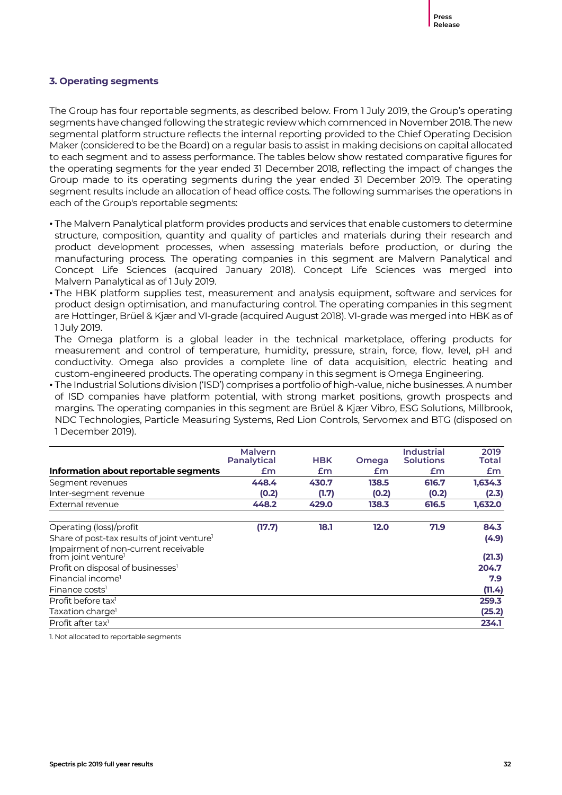### **3. Operating segments**

The Group has four reportable segments, as described below. From 1 July 2019, the Group's operating segments have changed following the strategic review which commenced in November 2018. The new segmental platform structure reflects the internal reporting provided to the Chief Operating Decision Maker (considered to be the Board) on a regular basis to assist in making decisions on capital allocated to each segment and to assess performance. The tables below show restated comparative figures for the operating segments for the year ended 31 December 2018, reflecting the impact of changes the Group made to its operating segments during the year ended 31 December 2019. The operating segment results include an allocation of head office costs. The following summarises the operations in each of the Group's reportable segments:

- The Malvern Panalytical platform provides products and services that enable customers to determine structure, composition, quantity and quality of particles and materials during their research and product development processes, when assessing materials before production, or during the manufacturing process. The operating companies in this segment are Malvern Panalytical and Concept Life Sciences (acquired January 2018). Concept Life Sciences was merged into Malvern Panalytical as of 1 July 2019.
- The HBK platform supplies test, measurement and analysis equipment, software and services for product design optimisation, and manufacturing control. The operating companies in this segment are Hottinger, Brüel & Kjær and VI-grade (acquired August 2018). VI-grade was merged into HBK as of 1 July 2019.

The Omega platform is a global leader in the technical marketplace, offering products for measurement and control of temperature, humidity, pressure, strain, force, flow, level, pH and conductivity. Omega also provides a complete line of data acquisition, electric heating and custom-engineered products. The operating company in this segment is Omega Engineering.

• The Industrial Solutions division ('ISD') comprises a portfolio of high-value, niche businesses. A number of ISD companies have platform potential, with strong market positions, growth prospects and margins. The operating companies in this segment are Brüel & Kjær Vibro, ESG Solutions, Millbrook, NDC Technologies, Particle Measuring Systems, Red Lion Controls, Servomex and BTG (disposed on 1 December 2019).

|                                                                         | <b>Malvern</b><br><b>Panalytical</b> | <b>HBK</b> | <b>Omega</b> | <b>Industrial</b><br><b>Solutions</b> | 2019<br>Total |
|-------------------------------------------------------------------------|--------------------------------------|------------|--------------|---------------------------------------|---------------|
| Information about reportable segments                                   | £m                                   | £m         | £m           | £m                                    | £m            |
| Segment revenues                                                        | 448.4                                | 430.7      | 138.5        | 616.7                                 | 1,634.3       |
| Inter-segment revenue                                                   | (0.2)                                | (1.7)      | (0.2)        | (0.2)                                 | (2.3)         |
| External revenue                                                        | 448.2                                | 429.0      | 138.3        | 616.5                                 | 1,632.0       |
| Operating (loss)/profit                                                 | (17.7)                               | 18.1       | 12.0         | 71.9                                  | 84.3          |
| Share of post-tax results of joint venture <sup>1</sup>                 |                                      |            |              |                                       | (4.9)         |
| Impairment of non-current receivable<br>from joint venture <sup>1</sup> |                                      |            |              |                                       | (21.3)        |
| Profit on disposal of businesses <sup>1</sup>                           |                                      |            |              |                                       | 204.7         |
| Financial income <sup>1</sup>                                           |                                      |            |              |                                       | 7.9           |
| Finance costs <sup>1</sup>                                              |                                      |            |              |                                       | (11.4)        |
| Profit before tax <sup>1</sup>                                          |                                      |            |              |                                       | 259.3         |
| Taxation charge <sup>1</sup>                                            |                                      |            |              |                                       | (25.2)        |
| Profit after tax <sup>1</sup>                                           |                                      |            |              |                                       | 234.1         |

1. Not allocated to reportable segments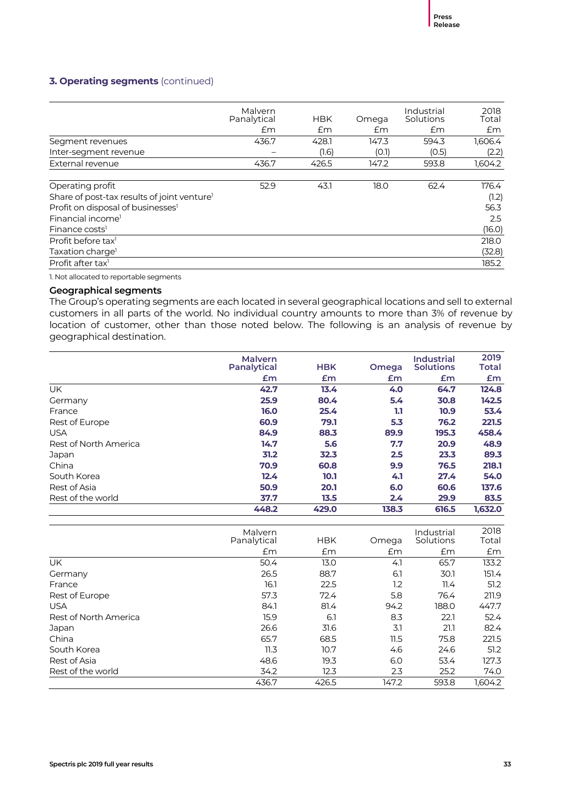### **3. Operating segments** (continued)

|                                                         | Malvern<br>Panalytical<br>£m | <b>HBK</b><br>£m | Omega<br>£m | Industrial<br>Solutions<br>£m | 2018<br>Total<br>£m |
|---------------------------------------------------------|------------------------------|------------------|-------------|-------------------------------|---------------------|
| Segment revenues                                        | 436.7                        | 428.1            | 147.3       | 594.3                         | 1,606.4             |
| Inter-segment revenue                                   |                              | (1.6)            | (0.1)       | (0.5)                         | (2.2)               |
| External revenue                                        | 436.7                        | 426.5            | 147.2       | 593.8                         | 1,604.2             |
|                                                         |                              |                  |             |                               |                     |
| Operating profit                                        | 52.9                         | 43.1             | 18.0        | 62.4                          | 176.4               |
| Share of post-tax results of joint venture <sup>1</sup> |                              |                  |             |                               | (1.2)               |
| Profit on disposal of businesses <sup>1</sup>           |                              |                  |             |                               | 56.3                |
| Financial income <sup>1</sup>                           |                              |                  |             |                               | 2.5                 |
| Finance costs <sup>1</sup>                              |                              |                  |             |                               | (16.0)              |
| Profit before tax <sup>1</sup>                          |                              |                  |             |                               | 218.0               |
| Taxation charge <sup>1</sup>                            |                              |                  |             |                               | (32.8)              |
| Profit after tax <sup>1</sup>                           |                              |                  |             |                               | 185.2               |

1. Not allocated to reportable segments

### **Geographical segments**

The Group's operating segments are each located in several geographical locations and sell to external customers in all parts of the world. No individual country amounts to more than 3% of revenue by location of customer, other than those noted below. The following is an analysis of revenue by geographical destination.

|                       | <b>Malvern</b><br>Panalytical | <b>HBK</b> | Omega | <b>Industrial</b><br><b>Solutions</b> | 2019<br><b>Total</b> |
|-----------------------|-------------------------------|------------|-------|---------------------------------------|----------------------|
|                       | £m                            | £m         | £m    | £m                                    | £m                   |
| <b>UK</b>             | 42.7                          | 13.4       | 4.0   | 64.7                                  | 124.8                |
| Germany               | 25.9                          | 80.4       | 5.4   | 30.8                                  | 142.5                |
| France                | 16.0                          | 25.4       | 1.1   | 10.9                                  | 53.4                 |
| Rest of Europe        | 60.9                          | 79.1       | 5.3   | 76.2                                  | 221.5                |
| <b>USA</b>            | 84.9                          | 88.3       | 89.9  | 195.3                                 | 458.4                |
| Rest of North America | 14.7                          | 5.6        | 7.7   | 20.9                                  | 48.9                 |
| Japan                 | 31.2                          | 32.3       | 2.5   | 23.3                                  | 89.3                 |
| China                 | 70.9                          | 60.8       | 9.9   | 76.5                                  | 218.1                |
| South Korea           | 12.4                          | 10.1       | 4.1   | 27.4                                  | 54.0                 |
| Rest of Asia          | 50.9                          | 20.1       | 6.0   | 60.6                                  | 137.6                |
| Rest of the world     | 37.7                          | 13.5       | 2.4   | 29.9                                  | 83.5                 |
|                       | 448.2                         | 429.0      | 138.3 | 616.5                                 | 1.632.0              |

|                       | Malvern<br>Panalytical | <b>HBK</b> | Omega | Industrial<br>Solutions | 2018<br>Total |
|-----------------------|------------------------|------------|-------|-------------------------|---------------|
|                       | £m                     | Em         | £m    | £m                      | Em            |
| UK                    | 50.4                   | 13.0       | 4.1   | 65.7                    | 133.2         |
| Germany               | 26.5                   | 88.7       | 6.1   | 30.1                    | 151.4         |
| France                | 16.1                   | 22.5       | 1.2   | 11.4                    | 51.2          |
| Rest of Europe        | 57.3                   | 72.4       | 5.8   | 76.4                    | 211.9         |
| <b>USA</b>            | 84.1                   | 81.4       | 94.2  | 188.0                   | 447.7         |
| Rest of North America | 15.9                   | 6.1        | 8.3   | 22.1                    | 52.4          |
| Japan                 | 26.6                   | 31.6       | 3.1   | 21.1                    | 82.4          |
| China                 | 65.7                   | 68.5       | 11.5  | 75.8                    | 221.5         |
| South Korea           | 11.3                   | 10.7       | 4.6   | 24.6                    | 51.2          |
| Rest of Asia          | 48.6                   | 19.3       | 6.0   | 53.4                    | 127.3         |
| Rest of the world     | 34.2                   | 12.3       | 2.3   | 25.2                    | 74.0          |
|                       | 436.7                  | 426.5      | 147.2 | 593.8                   | 1.604.2       |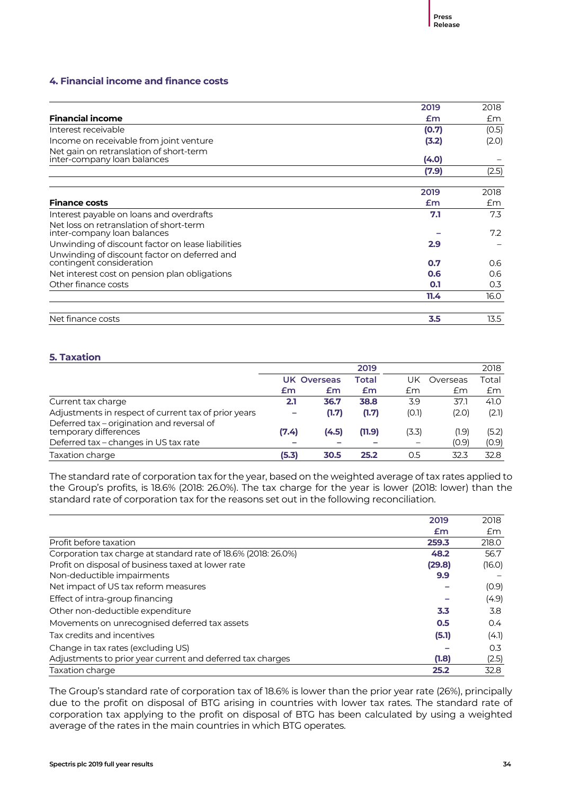### **4. Financial income and finance costs**

|                                                                          | 2019  | 2018  |
|--------------------------------------------------------------------------|-------|-------|
| <b>Financial income</b>                                                  | Em    | Em    |
| Interest receivable                                                      | (0.7) | (0.5) |
| Income on receivable from joint venture                                  | (3.2) | (2.0) |
| Net gain on retranslation of short-term<br>inter-company loan balances   | (4.0) |       |
|                                                                          | (7.9) | (2.5) |
|                                                                          |       |       |
|                                                                          | 2019  | 2018  |
| <b>Finance costs</b>                                                     | £m    | £m    |
| Interest payable on loans and overdrafts                                 | 7.1   | 7.3   |
| Net loss on retranslation of short-term<br>inter-company loan balances   |       | 7.2   |
| Unwinding of discount factor on lease liabilities                        | 2.9   |       |
| Unwinding of discount factor on deferred and<br>contingent consideration | 0.7   | 0.6   |
| Net interest cost on pension plan obligations                            | 0.6   | 0.6   |
| Other finance costs                                                      | 0.1   | 0.3   |
|                                                                          | 11.4  | 16.0  |
|                                                                          |       |       |
| Net finance costs                                                        | 3.5   | 13.5  |

### **5. Taxation**

|                                                                     |       |                    | 2019   |                          |          | 2018  |
|---------------------------------------------------------------------|-------|--------------------|--------|--------------------------|----------|-------|
|                                                                     |       | <b>UK Overseas</b> | Total  | UK                       | Overseas | Total |
|                                                                     | £m    | £m                 | £m     | £m                       | £m       | £m    |
| Current tax charge                                                  | 2.1   | 36.7               | 38.8   | 3.9                      | 37.1     | 41.0  |
| Adjustments in respect of current tax of prior years                | -     | (1.7)              | (1.7)  | (O.1)                    | (2.0)    | (2.1) |
| Deferred tax - origination and reversal of<br>temporary differences | (7.4) | (4.5)              | (11.9) | (3.3)                    | (1.9)    | (5.2) |
| Deferred tax - changes in US tax rate                               |       |                    |        | $\overline{\phantom{m}}$ | (0.9)    | (0.9) |
| Taxation charge                                                     | (5.3) | 30.5               | 25.2   | 0.5                      | 32.3     | 32.8  |

The standard rate of corporation tax for the year, based on the weighted average of tax rates applied to the Group's profits, is 18.6% (2018: 26.0%). The tax charge for the year is lower (2018: lower) than the standard rate of corporation tax for the reasons set out in the following reconciliation.

|                                                                | 2019   | 2018   |
|----------------------------------------------------------------|--------|--------|
|                                                                | Em     | £m     |
| Profit before taxation                                         | 259.3  | 218.0  |
| Corporation tax charge at standard rate of 18.6% (2018: 26.0%) | 48.2   | 56.7   |
| Profit on disposal of business taxed at lower rate             | (29.8) | (16.0) |
| Non-deductible impairments                                     | 9.9    |        |
| Net impact of US tax reform measures                           |        | (0.9)  |
| Effect of intra-group financing                                |        | (4.9)  |
| Other non-deductible expenditure                               | 3.3    | 3.8    |
| Movements on unrecognised deferred tax assets                  | 0.5    | 0.4    |
| Tax credits and incentives                                     | (5.1)  | (4.1)  |
| Change in tax rates (excluding US)                             |        | 0.3    |
| Adjustments to prior year current and deferred tax charges     | (1.8)  | (2.5)  |
| Taxation charge                                                | 25.2   | 32.8   |

The Group's standard rate of corporation tax of 18.6% is lower than the prior year rate (26%), principally due to the profit on disposal of BTG arising in countries with lower tax rates. The standard rate of corporation tax applying to the profit on disposal of BTG has been calculated by using a weighted average of the rates in the main countries in which BTG operates.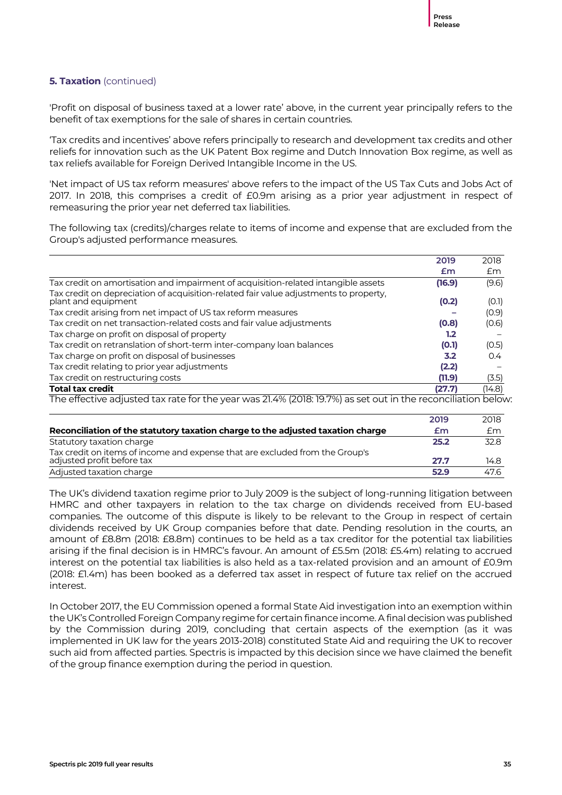### **5. Taxation** (continued)

'Profit on disposal of business taxed at a lower rate' above, in the current year principally refers to the benefit of tax exemptions for the sale of shares in certain countries.

'Tax credits and incentives' above refers principally to research and development tax credits and other reliefs for innovation such as the UK Patent Box regime and Dutch Innovation Box regime, as well as tax reliefs available for Foreign Derived Intangible Income in the US.

'Net impact of US tax reform measures' above refers to the impact of the US Tax Cuts and Jobs Act of 2017. In 2018, this comprises a credit of £0.9m arising as a prior year adjustment in respect of remeasuring the prior year net deferred tax liabilities.

The following tax (credits)/charges relate to items of income and expense that are excluded from the Group's adjusted performance measures.

|                                                                                                              | 2019   | 2018   |
|--------------------------------------------------------------------------------------------------------------|--------|--------|
|                                                                                                              | Em     | £m     |
| Tax credit on amortisation and impairment of acquisition-related intangible assets                           | (16.9) | (9.6)  |
| Tax credit on depreciation of acquisition-related fair value adjustments to property,<br>plant and equipment | (0.2)  | (0.1)  |
| Tax credit arising from net impact of US tax reform measures                                                 |        | (0.9)  |
| Tax credit on net transaction-related costs and fair value adjustments                                       | (0.8)  | (0.6)  |
| Tax charge on profit on disposal of property                                                                 | 1.2    |        |
| Tax credit on retranslation of short-term inter-company loan balances                                        | (0.1)  | (0.5)  |
| Tax charge on profit on disposal of businesses                                                               | 3.2    | 0.4    |
| Tax credit relating to prior year adjustments                                                                | (2.2)  |        |
| Tax credit on restructuring costs                                                                            | (11.9) | (3.5)  |
| <b>Total tax credit</b>                                                                                      | (27.7) | (14.8) |
| The effective adjusted tax rate for the year was 21.4% (2018: 19.7%) as set out in the reconciliation below. |        |        |

|                                                                                                            | 2019 | 2018 |
|------------------------------------------------------------------------------------------------------------|------|------|
| Reconciliation of the statutory taxation charge to the adjusted taxation charge                            | £m   | £m   |
| Statutory taxation charge                                                                                  | 25.2 | 32.8 |
| Tax credit on items of income and expense that are excluded from the Group's<br>adjusted profit before tax | 27.7 | 14.8 |
| Adjusted taxation charge                                                                                   | 52.9 | 47.6 |

The UK's dividend taxation regime prior to July 2009 is the subject of long-running litigation between HMRC and other taxpayers in relation to the tax charge on dividends received from EU-based companies. The outcome of this dispute is likely to be relevant to the Group in respect of certain dividends received by UK Group companies before that date. Pending resolution in the courts, an amount of £8.8m (2018: £8.8m) continues to be held as a tax creditor for the potential tax liabilities arising if the final decision is in HMRC's favour. An amount of £5.5m (2018: £5.4m) relating to accrued interest on the potential tax liabilities is also held as a tax-related provision and an amount of £0.9m (2018: £1.4m) has been booked as a deferred tax asset in respect of future tax relief on the accrued interest.

In October 2017, the EU Commission opened a formal State Aid investigation into an exemption within the UK's Controlled Foreign Company regime for certain finance income. A final decision was published by the Commission during 2019, concluding that certain aspects of the exemption (as it was implemented in UK law for the years 2013-2018) constituted State Aid and requiring the UK to recover such aid from affected parties. Spectris is impacted by this decision since we have claimed the benefit of the group finance exemption during the period in question.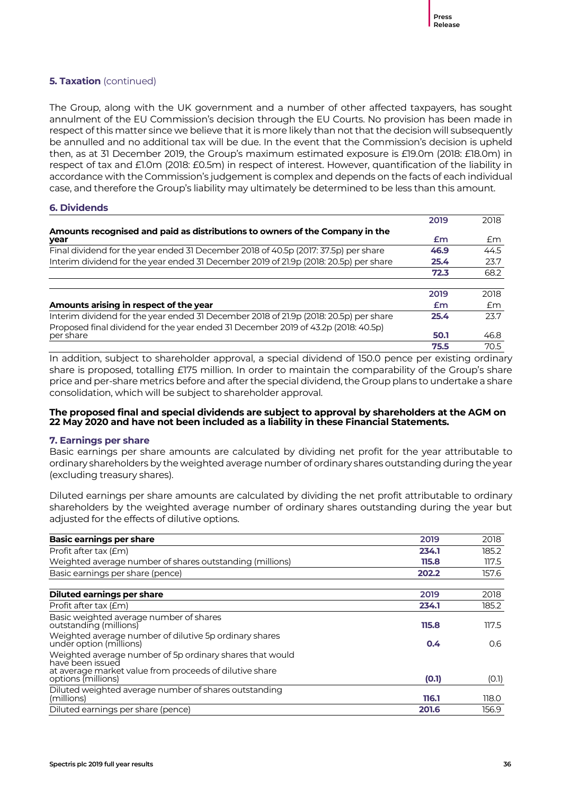### **5. Taxation** (continued)

The Group, along with the UK government and a number of other affected taxpayers, has sought annulment of the EU Commission's decision through the EU Courts. No provision has been made in respect of this matter since we believe that it is more likely than not that the decision will subsequently be annulled and no additional tax will be due. In the event that the Commission's decision is upheld then, as at 31 December 2019, the Group's maximum estimated exposure is £19.0m (2018: £18.0m) in respect of tax and £1.0m (2018: £0.5m) in respect of interest. However, quantification of the liability in accordance with the Commission's judgement is complex and depends on the facts of each individual case, and therefore the Group's liability may ultimately be determined to be less than this amount.

### **6. Dividends**

|                                                                                       | 2019 | 2018 |
|---------------------------------------------------------------------------------------|------|------|
| Amounts recognised and paid as distributions to owners of the Company in the          |      |      |
| year                                                                                  | £m   | £m   |
| Final dividend for the year ended 31 December 2018 of 40.5p (2017: 37.5p) per share   | 46.9 | 44.5 |
| Interim dividend for the year ended 31 December 2019 of 21.9p (2018: 20.5p) per share | 25.4 | 23.7 |
|                                                                                       | 72.3 | 68.2 |
|                                                                                       |      |      |
|                                                                                       | 2019 | 2018 |
| Amounts arising in respect of the year                                                | £m   | £m   |
| Interim dividend for the year ended 31 December 2018 of 21.9p (2018: 20.5p) per share | 25.4 | 23.7 |
| Proposed final dividend for the year ended 31 December 2019 of 43.2p (2018: 40.5p)    |      |      |
| per share                                                                             | 50.1 | 46.8 |
|                                                                                       | 75.5 | 70.5 |

In addition, subject to shareholder approval, a special dividend of 150.0 pence per existing ordinary share is proposed, totalling £175 million. In order to maintain the comparability of the Group's share price and per-share metrics before and after the special dividend, the Group plans to undertake a share consolidation, which will be subject to shareholder approval.

### **The proposed final and special dividends are subject to approval by shareholders at the AGM on 22 May 2020 and have not been included as a liability in these Financial Statements.**

### **7. Earnings per share**

Basic earnings per share amounts are calculated by dividing net profit for the year attributable to ordinary shareholders by the weighted average number of ordinary shares outstanding during the year (excluding treasury shares).

Diluted earnings per share amounts are calculated by dividing the net profit attributable to ordinary shareholders by the weighted average number of ordinary shares outstanding during the year but adjusted for the effects of dilutive options.

| <b>Basic earnings per share</b>                                                   | 2019  | 2018  |
|-----------------------------------------------------------------------------------|-------|-------|
| Profit after tax (£m)                                                             | 234.1 | 185.2 |
| Weighted average number of shares outstanding (millions)                          | 115.8 | 117.5 |
| Basic earnings per share (pence)                                                  | 202.2 | 157.6 |
| Diluted earnings per share                                                        | 2019  | 2018  |
| Profit after tax (£m)                                                             | 234.1 | 185.2 |
| Basic weighted average number of shares<br>outstanding (millions)                 | 115.8 | 117.5 |
| Weighted average number of dilutive 5p ordinary shares<br>under option (millions) | 0.4   | 0.6   |
| Weighted average number of 5p ordinary shares that would<br>have been issued      |       |       |
| at average market value from proceeds of dilutive share<br>options (millions)     | (O.1) | (0.1) |
| Diluted weighted average number of shares outstanding<br>(millions)               | 116.1 | 118.0 |
| Diluted earnings per share (pence)                                                | 201.6 | 156.9 |
|                                                                                   |       |       |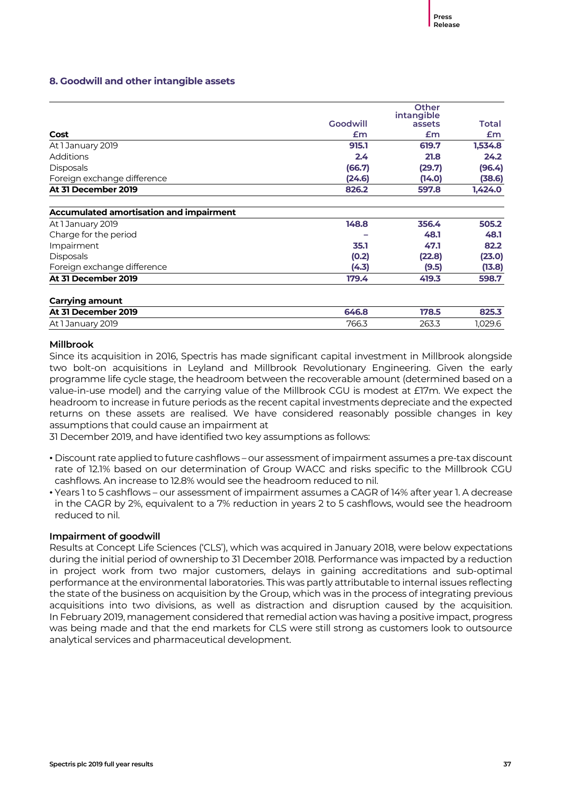### **8. Goodwill and other intangible assets**

|                                                |          | <b>Other</b><br>intangible |         |
|------------------------------------------------|----------|----------------------------|---------|
|                                                | Goodwill | assets                     | Total   |
| Cost                                           | Em       | £m                         | £m      |
| At 1 January 2019                              | 915.1    | 619.7                      | 1,534.8 |
| Additions                                      | 2.4      | 21.8                       | 24.2    |
| <b>Disposals</b>                               | (66.7)   | (29.7)                     | (96.4)  |
| Foreign exchange difference                    | (24.6)   | (14.0)                     | (38.6)  |
| At 31 December 2019                            | 826.2    | 597.8                      | 1,424.0 |
| <b>Accumulated amortisation and impairment</b> |          |                            |         |
| At 1 January 2019                              | 148.8    | 356.4                      | 505.2   |
| Charge for the period                          |          | 48.1                       | 48.1    |
| Impairment                                     | 35.1     | 47.1                       | 82.2    |
| <b>Disposals</b>                               | (0.2)    | (22.8)                     | (23.0)  |
| Foreign exchange difference                    | (4.3)    | (9.5)                      | (13.8)  |
| At 31 December 2019                            | 179.4    | 419.3                      | 598.7   |
| <b>Carrying amount</b>                         |          |                            |         |
| At 31 December 2019                            | 646.8    | 178.5                      | 825.3   |
| At 1 January 2019                              | 766.3    | 263.3                      | 1,029.6 |

### **Millbrook**

Since its acquisition in 2016, Spectris has made significant capital investment in Millbrook alongside two bolt-on acquisitions in Leyland and Millbrook Revolutionary Engineering. Given the early programme life cycle stage, the headroom between the recoverable amount (determined based on a value-in-use model) and the carrying value of the Millbrook CGU is modest at £17m. We expect the headroom to increase in future periods as the recent capital investments depreciate and the expected returns on these assets are realised. We have considered reasonably possible changes in key assumptions that could cause an impairment at

31 December 2019, and have identified two key assumptions as follows:

- Discount rate applied to future cashflows our assessment of impairment assumes a pre-tax discount rate of 12.1% based on our determination of Group WACC and risks specific to the Millbrook CGU cashflows. An increase to 12.8% would see the headroom reduced to nil.
- Years 1 to 5 cashflows our assessment of impairment assumes a CAGR of 14% after year 1. A decrease in the CAGR by 2%, equivalent to a 7% reduction in years 2 to 5 cashflows, would see the headroom reduced to nil.

### **Impairment of goodwill**

Results at Concept Life Sciences ('CLS'), which was acquired in January 2018, were below expectations during the initial period of ownership to 31 December 2018. Performance was impacted by a reduction in project work from two major customers, delays in gaining accreditations and sub-optimal performance at the environmental laboratories. This was partly attributable to internal issues reflecting the state of the business on acquisition by the Group, which was in the process of integrating previous acquisitions into two divisions, as well as distraction and disruption caused by the acquisition. In February 2019, management considered that remedial action was having a positive impact, progress was being made and that the end markets for CLS were still strong as customers look to outsource analytical services and pharmaceutical development.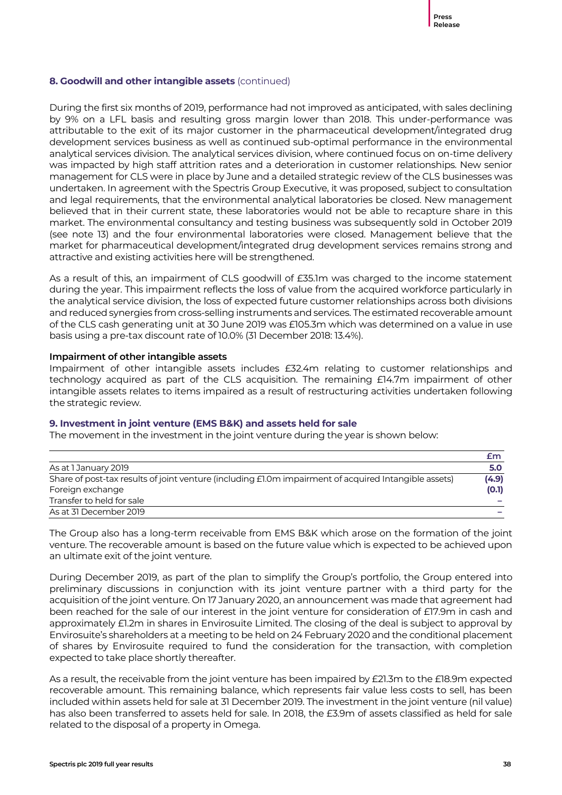### **8. Goodwill and other intangible assets** (continued)

During the first six months of 2019, performance had not improved as anticipated, with sales declining by 9% on a LFL basis and resulting gross margin lower than 2018. This under-performance was attributable to the exit of its major customer in the pharmaceutical development/integrated drug development services business as well as continued sub-optimal performance in the environmental analytical services division. The analytical services division, where continued focus on on-time delivery was impacted by high staff attrition rates and a deterioration in customer relationships. New senior management for CLS were in place by June and a detailed strategic review of the CLS businesses was undertaken. In agreement with the Spectris Group Executive, it was proposed, subject to consultation and legal requirements, that the environmental analytical laboratories be closed. New management believed that in their current state, these laboratories would not be able to recapture share in this market. The environmental consultancy and testing business was subsequently sold in October 2019 (see note 13) and the four environmental laboratories were closed. Management believe that the market for pharmaceutical development/integrated drug development services remains strong and attractive and existing activities here will be strengthened.

As a result of this, an impairment of CLS goodwill of £35.1m was charged to the income statement during the year. This impairment reflects the loss of value from the acquired workforce particularly in the analytical service division, the loss of expected future customer relationships across both divisions and reduced synergies from cross-selling instruments and services. The estimated recoverable amount of the CLS cash generating unit at 30 June 2019 was £105.3m which was determined on a value in use basis using a pre-tax discount rate of 10.0% (31 December 2018: 13.4%).

### **Impairment of other intangible assets**

Impairment of other intangible assets includes £32.4m relating to customer relationships and technology acquired as part of the CLS acquisition. The remaining £14.7m impairment of other intangible assets relates to items impaired as a result of restructuring activities undertaken following the strategic review.

### **9. Investment in joint venture (EMS B&K) and assets held for sale**

The movement in the investment in the joint venture during the year is shown below:

|                                                                                                       | £m    |
|-------------------------------------------------------------------------------------------------------|-------|
| As at 1 January 2019                                                                                  | 5.0   |
| Share of post-tax results of joint venture (including £1.0m impairment of acquired Intangible assets) | (4.9) |
| Foreign exchange                                                                                      | (0.1) |
| Transfer to held for sale                                                                             |       |
| As at 31 December 2019                                                                                |       |

The Group also has a long-term receivable from EMS B&K which arose on the formation of the joint venture. The recoverable amount is based on the future value which is expected to be achieved upon an ultimate exit of the joint venture.

During December 2019, as part of the plan to simplify the Group's portfolio, the Group entered into preliminary discussions in conjunction with its joint venture partner with a third party for the acquisition of the joint venture. On 17 January 2020, an announcement was made that agreement had been reached for the sale of our interest in the joint venture for consideration of £17.9m in cash and approximately £1.2m in shares in Envirosuite Limited. The closing of the deal is subject to approval by Envirosuite's shareholders at a meeting to be held on 24 February 2020 and the conditional placement of shares by Envirosuite required to fund the consideration for the transaction, with completion expected to take place shortly thereafter.

As a result, the receivable from the joint venture has been impaired by £21.3m to the £18.9m expected recoverable amount. This remaining balance, which represents fair value less costs to sell, has been included within assets held for sale at 31 December 2019. The investment in the joint venture (nil value) has also been transferred to assets held for sale. In 2018, the £3.9m of assets classified as held for sale related to the disposal of a property in Omega.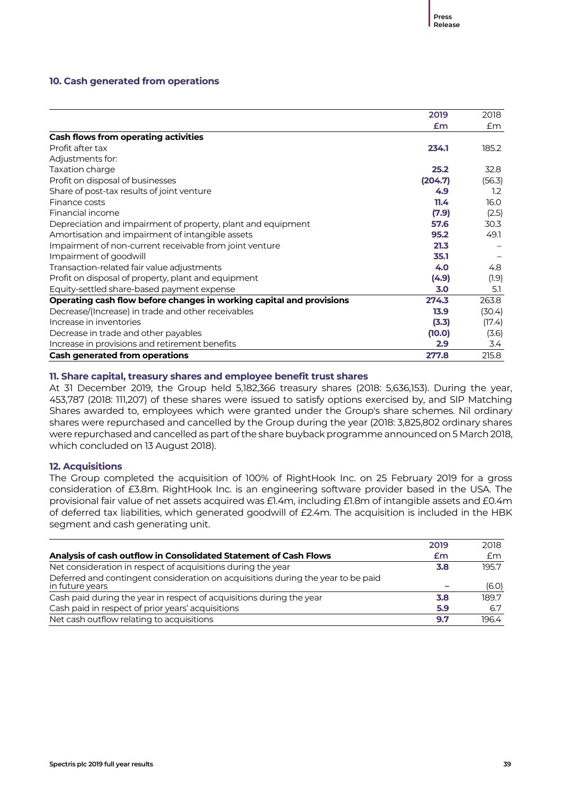### **10. Cash generated from operations**

|                                                                      | 2019    | 2018   |
|----------------------------------------------------------------------|---------|--------|
|                                                                      | Em      | £m     |
| <b>Cash flows from operating activities</b>                          |         |        |
| Profit after tax                                                     | 234.1   | 185.2  |
| Adjustments for:                                                     |         |        |
| Taxation charge                                                      | 25.2    | 32.8   |
| Profit on disposal of businesses                                     | (204.7) | (56.3) |
| Share of post-tax results of joint venture                           | 4.9     | 1.2    |
| Finance costs                                                        | 11.4    | 16.0   |
| Financial income                                                     | (7.9)   | (2.5)  |
| Depreciation and impairment of property, plant and equipment         | 57.6    | 30.3   |
| Amortisation and impairment of intangible assets                     | 95.2    | 49.1   |
| Impairment of non-current receivable from joint venture              | 21.3    |        |
| Impairment of goodwill                                               | 35.1    |        |
| Transaction-related fair value adjustments                           | 4.0     | 4.8    |
| Profit on disposal of property, plant and equipment                  | (4.9)   | (1.9)  |
| Equity-settled share-based payment expense                           | 3.0     | 5.1    |
| Operating cash flow before changes in working capital and provisions | 274.3   | 263.8  |
| Decrease/(Increase) in trade and other receivables                   | 13.9    | (30.4) |
| Increase in inventories                                              | (3.3)   | (17.4) |
| Decrease in trade and other payables                                 | (10.0)  | (3.6)  |
| Increase in provisions and retirement benefits                       | 2.9     | 3.4    |
| <b>Cash generated from operations</b>                                | 277.8   | 215.8  |

### **11. Share capital, treasury shares and employee benefit trust shares**

At 31 December 2019, the Group held 5,182,366 treasury shares (2018: 5,636,153). During the year, 453,787 (2018: 111,207) of these shares were issued to satisfy options exercised by, and SIP Matching Shares awarded to, employees which were granted under the Group's share schemes. Nil ordinary shares were repurchased and cancelled by the Group during the year (2018: 3,825,802 ordinary shares were repurchased and cancelled as part of the share buyback programme announced on 5 March 2018, which concluded on 13 August 2018).

### **12. Acquisitions**

The Group completed the acquisition of 100% of RightHook Inc. on 25 February 2019 for a gross consideration of £3.8m. RightHook Inc. is an engineering software provider based in the USA. The provisional fair value of net assets acquired was £1.4m, including £1.8m of intangible assets and £0.4m of deferred tax liabilities, which generated goodwill of £2.4m. The acquisition is included in the HBK segment and cash generating unit.

|                                                                                                     | 2019 | 2018  |
|-----------------------------------------------------------------------------------------------------|------|-------|
| Analysis of cash outflow in Consolidated Statement of Cash Flows                                    | £m   | £m    |
| Net consideration in respect of acquisitions during the year                                        | 3.8  | 195.7 |
| Deferred and contingent consideration on acquisitions during the year to be paid<br>in future years |      | (6.0) |
| Cash paid during the year in respect of acquisitions during the year                                | 3.8  | 189.7 |
| Cash paid in respect of prior years' acquisitions                                                   | 5.9  | 6.7   |
| Net cash outflow relating to acquisitions                                                           | 9.7  | 196.4 |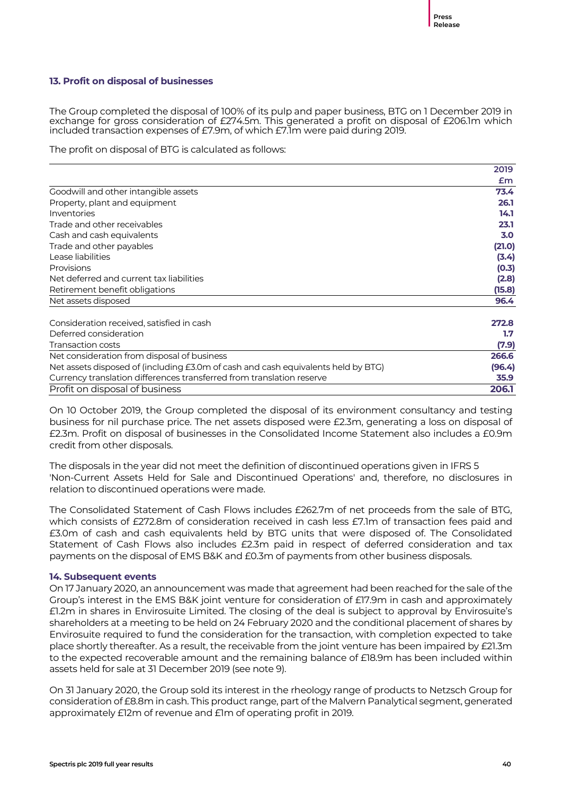### **13. Profit on disposal of businesses**

The Group completed the disposal of 100% of its pulp and paper business, BTG on 1 December 2019 in exchange for gross consideration of £274.5m. This generated a profit on disposal of £206.1m which included transaction expenses of £7.9m, of which £7.1m were paid during 2019.

The profit on disposal of BTG is calculated as follows:

|                                                                                   | 2019   |
|-----------------------------------------------------------------------------------|--------|
|                                                                                   | £m     |
| Goodwill and other intangible assets                                              | 73.4   |
| Property, plant and equipment                                                     | 26.1   |
| Inventories                                                                       | 14.1   |
| Trade and other receivables                                                       | 23.1   |
| Cash and cash equivalents                                                         | 3.0    |
| Trade and other payables                                                          | (21.0) |
| Lease liabilities                                                                 | (3.4)  |
| Provisions                                                                        | (0.3)  |
| Net deferred and current tax liabilities                                          | (2.8)  |
| Retirement benefit obligations                                                    | (15.8) |
| Net assets disposed                                                               | 96.4   |
| Consideration received, satisfied in cash                                         | 272.8  |
| Deferred consideration                                                            | 1.7    |
| Transaction costs                                                                 | (7.9)  |
| Net consideration from disposal of business                                       | 266.6  |
| Net assets disposed of (including £3.0m of cash and cash equivalents held by BTG) | (96.4) |
| Currency translation differences transferred from translation reserve             | 35.9   |
| Profit on disposal of business                                                    | 206.1  |

On 10 October 2019, the Group completed the disposal of its environment consultancy and testing business for nil purchase price. The net assets disposed were £2.3m, generating a loss on disposal of £2.3m. Profit on disposal of businesses in the Consolidated Income Statement also includes a £0.9m credit from other disposals.

The disposals in the year did not meet the definition of discontinued operations given in IFRS 5 'Non-Current Assets Held for Sale and Discontinued Operations' and, therefore, no disclosures in relation to discontinued operations were made.

The Consolidated Statement of Cash Flows includes £262.7m of net proceeds from the sale of BTG, which consists of £272.8m of consideration received in cash less £7.1m of transaction fees paid and £3.0m of cash and cash equivalents held by BTG units that were disposed of. The Consolidated Statement of Cash Flows also includes £2.3m paid in respect of deferred consideration and tax payments on the disposal of EMS B&K and £0.3m of payments from other business disposals.

#### **14. Subsequent events**

On 17 January 2020, an announcement was made that agreement had been reached for the sale of the Group's interest in the EMS B&K joint venture for consideration of £17.9m in cash and approximately £1.2m in shares in Envirosuite Limited. The closing of the deal is subject to approval by Envirosuite's shareholders at a meeting to be held on 24 February 2020 and the conditional placement of shares by Envirosuite required to fund the consideration for the transaction, with completion expected to take place shortly thereafter. As a result, the receivable from the joint venture has been impaired by £21.3m to the expected recoverable amount and the remaining balance of £18.9m has been included within assets held for sale at 31 December 2019 (see note 9).

On 31 January 2020, the Group sold its interest in the rheology range of products to Netzsch Group for consideration of £8.8m in cash. This product range, part of the Malvern Panalytical segment, generated approximately £12m of revenue and £1m of operating profit in 2019.